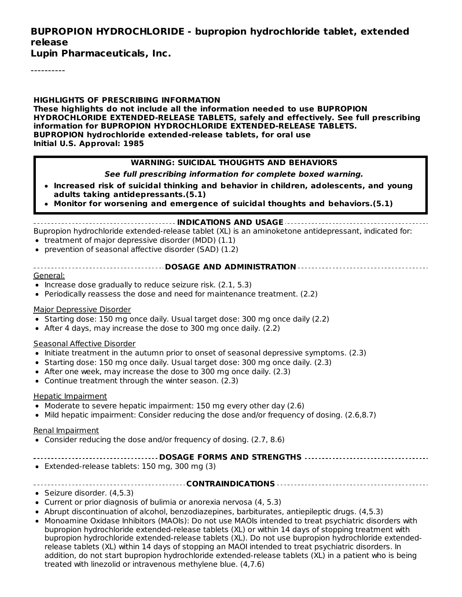#### **BUPROPION HYDROCHLORIDE - bupropion hydrochloride tablet, extended release**

**Lupin Pharmaceuticals, Inc.**

----------

**HIGHLIGHTS OF PRESCRIBING INFORMATION These highlights do not include all the information needed to use BUPROPION HYDROCHLORIDE EXTENDED-RELEASE TABLETS, safely and effectively. See full prescribing information for BUPROPION HYDROCHLORIDE EXTENDED-RELEASE TABLETS. BUPROPION hydrochloride extended-release tablets, for oral use Initial U.S. Approval: 1985**

#### **WARNING: SUICIDAL THOUGHTS AND BEHAVIORS**

#### **See full prescribing information for complete boxed warning.**

- **Increased risk of suicidal thinking and behavior in children, adolescents, and young adults taking antidepressants.(5.1)**
- **Monitor for worsening and emergence of suicidal thoughts and behaviors.(5.1)**

#### **INDICATIONS AND USAGE**

Bupropion hydrochloride extended-release tablet (XL) is an aminoketone antidepressant, indicated for:

- $\bullet$  treatment of major depressive disorder (MDD) (1.1)
- prevention of seasonal affective disorder (SAD) (1.2)

#### **DOSAGE AND ADMINISTRATION**

General:

- $\bullet$  Increase dose gradually to reduce seizure risk. (2.1, 5.3)
- Periodically reassess the dose and need for maintenance treatment. (2.2)

Major Depressive Disorder

- Starting dose: 150 mg once daily. Usual target dose: 300 mg once daily (2.2)
- After 4 days, may increase the dose to 300 mg once daily. (2.2)

Seasonal Affective Disorder

- Initiate treatment in the autumn prior to onset of seasonal depressive symptoms. (2.3)
- $\bullet$  Starting dose: 150 mg once daily. Usual target dose: 300 mg once daily. (2.3)
- After one week, may increase the dose to 300 mg once daily. (2.3)
- Continue treatment through the winter season. (2.3)

#### Hepatic Impairment

- $\bullet$  Moderate to severe hepatic impairment: 150 mg every other day (2.6)
- Mild hepatic impairment: Consider reducing the dose and/or frequency of dosing. (2.6,8.7)

#### Renal Impairment

Consider reducing the dose and/or frequency of dosing. (2.7, 8.6)

#### **DOSAGE FORMS AND STRENGTHS**

Extended-release tablets: 150 mg, 300 mg (3)

**CONTRAINDICATIONS**

• Seizure disorder. (4,5.3)

- Current or prior diagnosis of bulimia or anorexia nervosa (4, 5.3)
- Abrupt discontinuation of alcohol, benzodiazepines, barbiturates, antiepileptic drugs. (4,5.3)
- Monoamine Oxidase Inhibitors (MAOIs): Do not use MAOIs intended to treat psychiatric disorders with bupropion hydrochloride extended-release tablets (XL) or within 14 days of stopping treatment with bupropion hydrochloride extended-release tablets (XL). Do not use bupropion hydrochloride extendedrelease tablets (XL) within 14 days of stopping an MAOI intended to treat psychiatric disorders. In addition, do not start bupropion hydrochloride extended-release tablets (XL) in a patient who is being treated with linezolid or intravenous methylene blue. (4,7.6)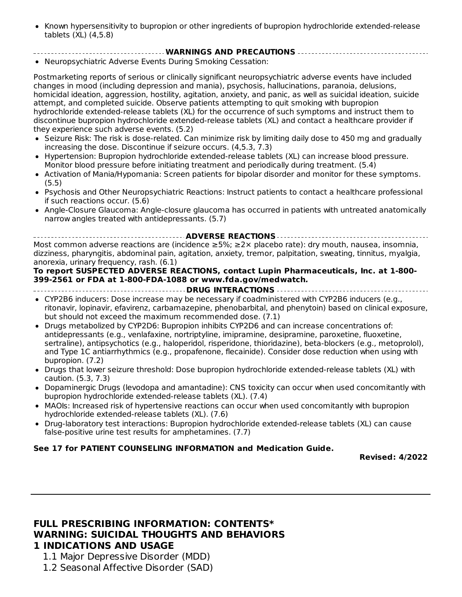- Known hypersensitivity to bupropion or other ingredients of bupropion hydrochloride extended-release tablets (XL) (4,5.8)
- **WARNINGS AND PRECAUTIONS**
- Neuropsychiatric Adverse Events During Smoking Cessation:

Postmarketing reports of serious or clinically significant neuropsychiatric adverse events have included changes in mood (including depression and mania), psychosis, hallucinations, paranoia, delusions, homicidal ideation, aggression, hostility, agitation, anxiety, and panic, as well as suicidal ideation, suicide attempt, and completed suicide. Observe patients attempting to quit smoking with bupropion hydrochloride extended-release tablets (XL) for the occurrence of such symptoms and instruct them to discontinue bupropion hydrochloride extended-release tablets (XL) and contact a healthcare provider if they experience such adverse events. (5.2)

- Seizure Risk: The risk is dose-related. Can minimize risk by limiting daily dose to 450 mg and gradually increasing the dose. Discontinue if seizure occurs. (4,5.3, 7.3)
- Hypertension: Bupropion hydrochloride extended-release tablets (XL) can increase blood pressure. Monitor blood pressure before initiating treatment and periodically during treatment. (5.4)
- Activation of Mania/Hypomania: Screen patients for bipolar disorder and monitor for these symptoms. (5.5)
- Psychosis and Other Neuropsychiatric Reactions: Instruct patients to contact a healthcare professional if such reactions occur. (5.6)
- Angle-Closure Glaucoma: Angle-closure glaucoma has occurred in patients with untreated anatomically narrow angles treated with antidepressants. (5.7)

**ADVERSE REACTIONS** Most common adverse reactions are (incidence ≥5%; ≥2× placebo rate): dry mouth, nausea, insomnia, dizziness, pharyngitis, abdominal pain, agitation, anxiety, tremor, palpitation, sweating, tinnitus, myalgia, anorexia, urinary frequency, rash. (6.1)

#### **To report SUSPECTED ADVERSE REACTIONS, contact Lupin Pharmaceuticals, Inc. at 1-800- 399-2561 or FDA at 1-800-FDA-1088 or www.fda.gov/medwatch.**

**DRUG INTERACTIONS** CYP2B6 inducers: Dose increase may be necessary if coadministered with CYP2B6 inducers (e.g.,

- ritonavir, lopinavir, efavirenz, carbamazepine, phenobarbital, and phenytoin) based on clinical exposure, but should not exceed the maximum recommended dose. (7.1)
- Drugs metabolized by CYP2D6: Bupropion inhibits CYP2D6 and can increase concentrations of: antidepressants (e.g., venlafaxine, nortriptyline, imipramine, desipramine, paroxetine, fluoxetine, sertraline), antipsychotics (e.g., haloperidol, risperidone, thioridazine), beta-blockers (e.g., metoprolol), and Type 1C antiarrhythmics (e.g., propafenone, flecainide). Consider dose reduction when using with bupropion. (7.2)
- Drugs that lower seizure threshold: Dose bupropion hydrochloride extended-release tablets (XL) with caution. (5.3, 7.3)
- Dopaminergic Drugs (levodopa and amantadine): CNS toxicity can occur when used concomitantly with bupropion hydrochloride extended-release tablets (XL). (7.4)
- MAOIs: Increased risk of hypertensive reactions can occur when used concomitantly with bupropion hydrochloride extended-release tablets (XL). (7.6)
- Drug-laboratory test interactions: Bupropion hydrochloride extended-release tablets (XL) can cause false-positive urine test results for amphetamines. (7.7)

#### **See 17 for PATIENT COUNSELING INFORMATION and Medication Guide.**

**Revised: 4/2022**

#### **FULL PRESCRIBING INFORMATION: CONTENTS\* WARNING: SUICIDAL THOUGHTS AND BEHAVIORS 1 INDICATIONS AND USAGE**

- 1.1 Major Depressive Disorder (MDD)
- 1.2 Seasonal Affective Disorder (SAD)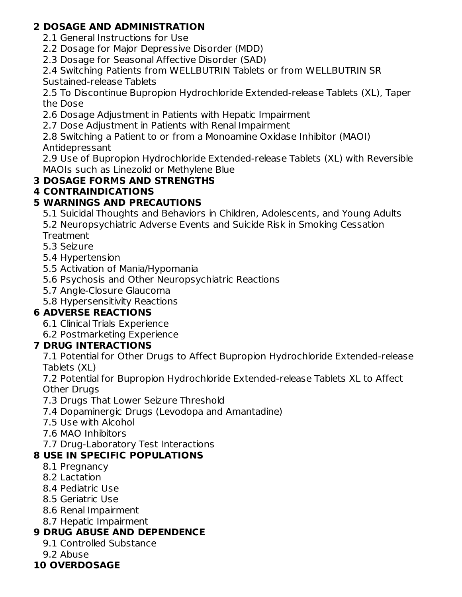#### **2 DOSAGE AND ADMINISTRATION**

2.1 General Instructions for Use

2.2 Dosage for Major Depressive Disorder (MDD)

2.3 Dosage for Seasonal Affective Disorder (SAD)

2.4 Switching Patients from WELLBUTRIN Tablets or from WELLBUTRIN SR Sustained-release Tablets

2.5 To Discontinue Bupropion Hydrochloride Extended-release Tablets (XL), Taper the Dose

2.6 Dosage Adjustment in Patients with Hepatic Impairment

2.7 Dose Adjustment in Patients with Renal Impairment

2.8 Switching a Patient to or from a Monoamine Oxidase Inhibitor (MAOI)

Antidepressant

2.9 Use of Bupropion Hydrochloride Extended-release Tablets (XL) with Reversible MAOIs such as Linezolid or Methylene Blue

# **3 DOSAGE FORMS AND STRENGTHS**

# **4 CONTRAINDICATIONS**

# **5 WARNINGS AND PRECAUTIONS**

5.1 Suicidal Thoughts and Behaviors in Children, Adolescents, and Young Adults 5.2 Neuropsychiatric Adverse Events and Suicide Risk in Smoking Cessation

**Treatment** 

5.3 Seizure

- 5.4 Hypertension
- 5.5 Activation of Mania/Hypomania
- 5.6 Psychosis and Other Neuropsychiatric Reactions
- 5.7 Angle-Closure Glaucoma
- 5.8 Hypersensitivity Reactions

# **6 ADVERSE REACTIONS**

- 6.1 Clinical Trials Experience
- 6.2 Postmarketing Experience

# **7 DRUG INTERACTIONS**

7.1 Potential for Other Drugs to Affect Bupropion Hydrochloride Extended-release Tablets (XL)

7.2 Potential for Bupropion Hydrochloride Extended-release Tablets XL to Affect Other Drugs

- 7.3 Drugs That Lower Seizure Threshold
- 7.4 Dopaminergic Drugs (Levodopa and Amantadine)
- 7.5 Use with Alcohol
- 7.6 MAO Inhibitors

7.7 Drug-Laboratory Test Interactions

## **8 USE IN SPECIFIC POPULATIONS**

- 8.1 Pregnancy
- 8.2 Lactation
- 8.4 Pediatric Use
- 8.5 Geriatric Use
- 8.6 Renal Impairment
- 8.7 Hepatic Impairment

## **9 DRUG ABUSE AND DEPENDENCE**

- 9.1 Controlled Substance
- 9.2 Abuse

## **10 OVERDOSAGE**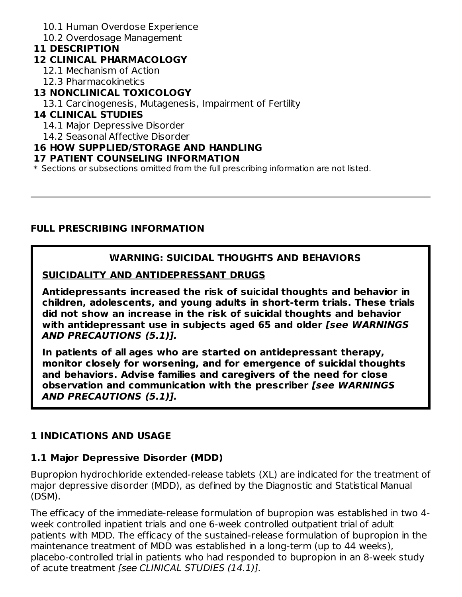10.1 Human Overdose Experience

10.2 Overdosage Management

#### **11 DESCRIPTION**

#### **12 CLINICAL PHARMACOLOGY**

12.1 Mechanism of Action

12.3 Pharmacokinetics

#### **13 NONCLINICAL TOXICOLOGY**

13.1 Carcinogenesis, Mutagenesis, Impairment of Fertility

#### **14 CLINICAL STUDIES**

14.1 Major Depressive Disorder

14.2 Seasonal Affective Disorder

#### **16 HOW SUPPLIED/STORAGE AND HANDLING**

#### **17 PATIENT COUNSELING INFORMATION**

\* Sections or subsections omitted from the full prescribing information are not listed.

#### **FULL PRESCRIBING INFORMATION**

## **WARNING: SUICIDAL THOUGHTS AND BEHAVIORS**

## **SUICIDALITY AND ANTIDEPRESSANT DRUGS**

**Antidepressants increased the risk of suicidal thoughts and behavior in children, adolescents, and young adults in short-term trials. These trials did not show an increase in the risk of suicidal thoughts and behavior with antidepressant use in subjects aged 65 and older [see WARNINGS AND PRECAUTIONS (5.1)].**

**In patients of all ages who are started on antidepressant therapy, monitor closely for worsening, and for emergence of suicidal thoughts and behaviors. Advise families and caregivers of the need for close observation and communication with the prescriber [see WARNINGS AND PRECAUTIONS (5.1)].**

#### **1 INDICATIONS AND USAGE**

#### **1.1 Major Depressive Disorder (MDD)**

Bupropion hydrochloride extended-release tablets (XL) are indicated for the treatment of major depressive disorder (MDD), as defined by the Diagnostic and Statistical Manual (DSM).

The efficacy of the immediate-release formulation of bupropion was established in two 4 week controlled inpatient trials and one 6-week controlled outpatient trial of adult patients with MDD. The efficacy of the sustained-release formulation of bupropion in the maintenance treatment of MDD was established in a long-term (up to 44 weeks), placebo-controlled trial in patients who had responded to bupropion in an 8-week study of acute treatment [see CLINICAL STUDIES (14.1)].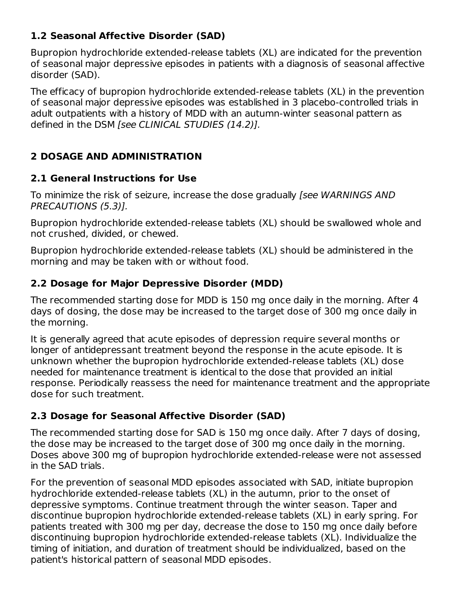#### **1.2 Seasonal Affective Disorder (SAD)**

Bupropion hydrochloride extended-release tablets (XL) are indicated for the prevention of seasonal major depressive episodes in patients with a diagnosis of seasonal affective disorder (SAD).

The efficacy of bupropion hydrochloride extended-release tablets (XL) in the prevention of seasonal major depressive episodes was established in 3 placebo-controlled trials in adult outpatients with a history of MDD with an autumn-winter seasonal pattern as defined in the DSM [see CLINICAL STUDIES (14.2)].

# **2 DOSAGE AND ADMINISTRATION**

#### **2.1 General Instructions for Use**

To minimize the risk of seizure, increase the dose gradually *[see WARNINGS AND* PRECAUTIONS (5.3)].

Bupropion hydrochloride extended-release tablets (XL) should be swallowed whole and not crushed, divided, or chewed.

Bupropion hydrochloride extended-release tablets (XL) should be administered in the morning and may be taken with or without food.

## **2.2 Dosage for Major Depressive Disorder (MDD)**

The recommended starting dose for MDD is 150 mg once daily in the morning. After 4 days of dosing, the dose may be increased to the target dose of 300 mg once daily in the morning.

It is generally agreed that acute episodes of depression require several months or longer of antidepressant treatment beyond the response in the acute episode. It is unknown whether the bupropion hydrochloride extended-release tablets (XL) dose needed for maintenance treatment is identical to the dose that provided an initial response. Periodically reassess the need for maintenance treatment and the appropriate dose for such treatment.

## **2.3 Dosage for Seasonal Affective Disorder (SAD)**

The recommended starting dose for SAD is 150 mg once daily. After 7 days of dosing, the dose may be increased to the target dose of 300 mg once daily in the morning. Doses above 300 mg of bupropion hydrochloride extended-release were not assessed in the SAD trials.

For the prevention of seasonal MDD episodes associated with SAD, initiate bupropion hydrochloride extended-release tablets (XL) in the autumn, prior to the onset of depressive symptoms. Continue treatment through the winter season. Taper and discontinue bupropion hydrochloride extended-release tablets (XL) in early spring. For patients treated with 300 mg per day, decrease the dose to 150 mg once daily before discontinuing bupropion hydrochloride extended-release tablets (XL). Individualize the timing of initiation, and duration of treatment should be individualized, based on the patient's historical pattern of seasonal MDD episodes.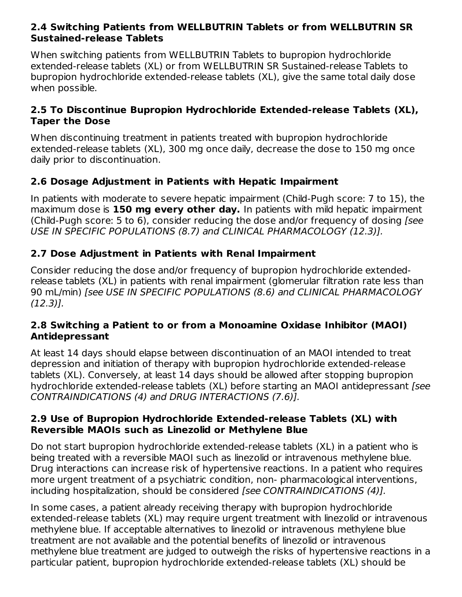#### **2.4 Switching Patients from WELLBUTRIN Tablets or from WELLBUTRIN SR Sustained-release Tablets**

When switching patients from WELLBUTRIN Tablets to bupropion hydrochloride extended-release tablets (XL) or from WELLBUTRIN SR Sustained-release Tablets to bupropion hydrochloride extended-release tablets (XL), give the same total daily dose when possible.

#### **2.5 To Discontinue Bupropion Hydrochloride Extended-release Tablets (XL), Taper the Dose**

When discontinuing treatment in patients treated with bupropion hydrochloride extended-release tablets (XL), 300 mg once daily, decrease the dose to 150 mg once daily prior to discontinuation.

#### **2.6 Dosage Adjustment in Patients with Hepatic Impairment**

In patients with moderate to severe hepatic impairment (Child-Pugh score: 7 to 15), the maximum dose is **150 mg every other day.** In patients with mild hepatic impairment (Child-Pugh score: 5 to 6), consider reducing the dose and/or frequency of dosing *[see*] USE IN SPECIFIC POPULATIONS (8.7) and CLINICAL PHARMACOLOGY (12.3)].

#### **2.7 Dose Adjustment in Patients with Renal Impairment**

Consider reducing the dose and/or frequency of bupropion hydrochloride extendedrelease tablets (XL) in patients with renal impairment (glomerular filtration rate less than 90 mL/min) [see USE IN SPECIFIC POPULATIONS (8.6) and CLINICAL PHARMACOLOGY (12.3)].

#### **2.8 Switching a Patient to or from a Monoamine Oxidase Inhibitor (MAOI) Antidepressant**

At least 14 days should elapse between discontinuation of an MAOI intended to treat depression and initiation of therapy with bupropion hydrochloride extended-release tablets (XL). Conversely, at least 14 days should be allowed after stopping bupropion hydrochloride extended-release tablets (XL) before starting an MAOI antidepressant [see CONTRAINDICATIONS (4) and DRUG INTERACTIONS (7.6)].

#### **2.9 Use of Bupropion Hydrochloride Extended-release Tablets (XL) with Reversible MAOIs such as Linezolid or Methylene Blue**

Do not start bupropion hydrochloride extended-release tablets (XL) in a patient who is being treated with a reversible MAOI such as linezolid or intravenous methylene blue. Drug interactions can increase risk of hypertensive reactions. In a patient who requires more urgent treatment of a psychiatric condition, non- pharmacological interventions, including hospitalization, should be considered [see CONTRAINDICATIONS (4)].

In some cases, a patient already receiving therapy with bupropion hydrochloride extended-release tablets (XL) may require urgent treatment with linezolid or intravenous methylene blue. If acceptable alternatives to linezolid or intravenous methylene blue treatment are not available and the potential benefits of linezolid or intravenous methylene blue treatment are judged to outweigh the risks of hypertensive reactions in a particular patient, bupropion hydrochloride extended-release tablets (XL) should be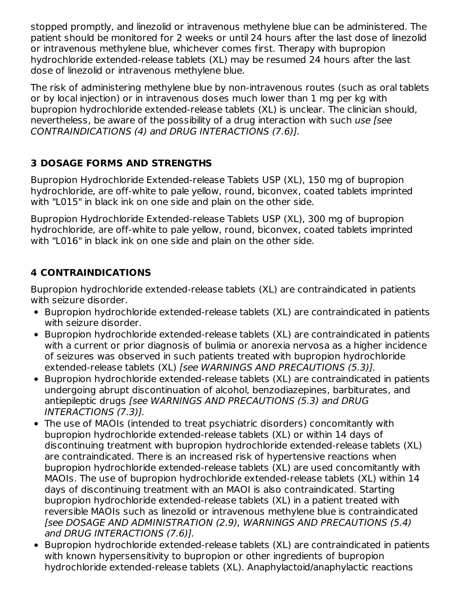stopped promptly, and linezolid or intravenous methylene blue can be administered. The patient should be monitored for 2 weeks or until 24 hours after the last dose of linezolid or intravenous methylene blue, whichever comes first. Therapy with bupropion hydrochloride extended-release tablets (XL) may be resumed 24 hours after the last dose of linezolid or intravenous methylene blue.

The risk of administering methylene blue by non-intravenous routes (such as oral tablets or by local injection) or in intravenous doses much lower than 1 mg per kg with bupropion hydrochloride extended-release tablets (XL) is unclear. The clinician should, nevertheless, be aware of the possibility of a drug interaction with such use [see CONTRAINDICATIONS (4) and DRUG INTERACTIONS (7.6)].

## **3 DOSAGE FORMS AND STRENGTHS**

Bupropion Hydrochloride Extended-release Tablets USP (XL), 150 mg of bupropion hydrochloride, are off-white to pale yellow, round, biconvex, coated tablets imprinted with "L015" in black ink on one side and plain on the other side.

Bupropion Hydrochloride Extended-release Tablets USP (XL), 300 mg of bupropion hydrochloride, are off-white to pale yellow, round, biconvex, coated tablets imprinted with "L016" in black ink on one side and plain on the other side.

# **4 CONTRAINDICATIONS**

Bupropion hydrochloride extended-release tablets (XL) are contraindicated in patients with seizure disorder.

- Bupropion hydrochloride extended-release tablets (XL) are contraindicated in patients with seizure disorder.
- Bupropion hydrochloride extended-release tablets (XL) are contraindicated in patients with a current or prior diagnosis of bulimia or anorexia nervosa as a higher incidence of seizures was observed in such patients treated with bupropion hydrochloride extended-release tablets (XL) [see WARNINGS AND PRECAUTIONS (5.3)].
- Bupropion hydrochloride extended-release tablets (XL) are contraindicated in patients undergoing abrupt discontinuation of alcohol, benzodiazepines, barbiturates, and antiepileptic drugs [see WARNINGS AND PRECAUTIONS (5.3) and DRUG INTERACTIONS (7.3)].
- The use of MAOIs (intended to treat psychiatric disorders) concomitantly with bupropion hydrochloride extended-release tablets (XL) or within 14 days of discontinuing treatment with bupropion hydrochloride extended-release tablets (XL) are contraindicated. There is an increased risk of hypertensive reactions when bupropion hydrochloride extended-release tablets (XL) are used concomitantly with MAOIs. The use of bupropion hydrochloride extended-release tablets (XL) within 14 days of discontinuing treatment with an MAOI is also contraindicated. Starting bupropion hydrochloride extended-release tablets (XL) in a patient treated with reversible MAOIs such as linezolid or intravenous methylene blue is contraindicated [see DOSAGE AND ADMINISTRATION (2.9), WARNINGS AND PRECAUTIONS (5.4) and DRUG INTERACTIONS (7.6)].
- Bupropion hydrochloride extended-release tablets (XL) are contraindicated in patients with known hypersensitivity to bupropion or other ingredients of bupropion hydrochloride extended-release tablets (XL). Anaphylactoid/anaphylactic reactions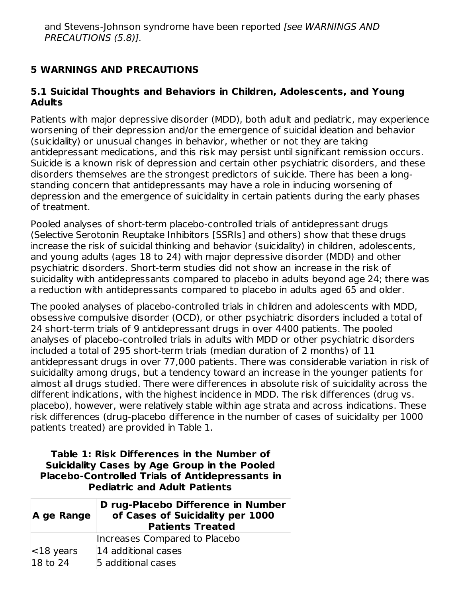#### **5 WARNINGS AND PRECAUTIONS**

#### **5.1 Suicidal Thoughts and Behaviors in Children, Adolescents, and Young Adults**

Patients with major depressive disorder (MDD), both adult and pediatric, may experience worsening of their depression and/or the emergence of suicidal ideation and behavior (suicidality) or unusual changes in behavior, whether or not they are taking antidepressant medications, and this risk may persist until significant remission occurs. Suicide is a known risk of depression and certain other psychiatric disorders, and these disorders themselves are the strongest predictors of suicide. There has been a longstanding concern that antidepressants may have a role in inducing worsening of depression and the emergence of suicidality in certain patients during the early phases of treatment.

Pooled analyses of short-term placebo-controlled trials of antidepressant drugs (Selective Serotonin Reuptake Inhibitors [SSRIs] and others) show that these drugs increase the risk of suicidal thinking and behavior (suicidality) in children, adolescents, and young adults (ages 18 to 24) with major depressive disorder (MDD) and other psychiatric disorders. Short-term studies did not show an increase in the risk of suicidality with antidepressants compared to placebo in adults beyond age 24; there was a reduction with antidepressants compared to placebo in adults aged 65 and older.

The pooled analyses of placebo-controlled trials in children and adolescents with MDD, obsessive compulsive disorder (OCD), or other psychiatric disorders included a total of 24 short-term trials of 9 antidepressant drugs in over 4400 patients. The pooled analyses of placebo-controlled trials in adults with MDD or other psychiatric disorders included a total of 295 short-term trials (median duration of 2 months) of 11 antidepressant drugs in over 77,000 patients. There was considerable variation in risk of suicidality among drugs, but a tendency toward an increase in the younger patients for almost all drugs studied. There were differences in absolute risk of suicidality across the different indications, with the highest incidence in MDD. The risk differences (drug vs. placebo), however, were relatively stable within age strata and across indications. These risk differences (drug-placebo difference in the number of cases of suicidality per 1000 patients treated) are provided in Table 1.

#### **Table 1: Risk Differences in the Number of Suicidality Cases by Age Group in the Pooled Placebo-Controlled Trials of Antidepressants in Pediatric and Adult Patients**

| A ge Range                    | D rug-Placebo Difference in Number<br>of Cases of Suicidality per 1000<br><b>Patients Treated</b> |  |
|-------------------------------|---------------------------------------------------------------------------------------------------|--|
| Increases Compared to Placebo |                                                                                                   |  |
| $ $ <18 years                 | 14 additional cases                                                                               |  |
| 18 to 24                      | 5 additional cases                                                                                |  |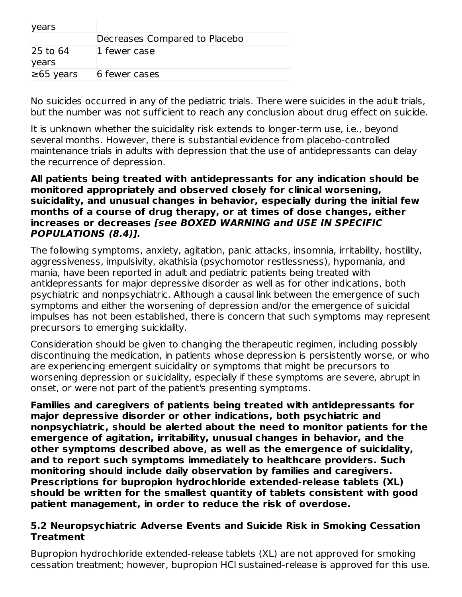| Decreases Compared to Placebo |
|-------------------------------|
| 1 fewer case                  |
|                               |
| 6 fewer cases                 |
|                               |

No suicides occurred in any of the pediatric trials. There were suicides in the adult trials, but the number was not sufficient to reach any conclusion about drug effect on suicide.

It is unknown whether the suicidality risk extends to longer-term use, i.e., beyond several months. However, there is substantial evidence from placebo-controlled maintenance trials in adults with depression that the use of antidepressants can delay the recurrence of depression.

#### **All patients being treated with antidepressants for any indication should be monitored appropriately and observed closely for clinical worsening, suicidality, and unusual changes in behavior, especially during the initial few months of a course of drug therapy, or at times of dose changes, either increases or decreases [see BOXED WARNING and USE IN SPECIFIC POPULATIONS (8.4)].**

The following symptoms, anxiety, agitation, panic attacks, insomnia, irritability, hostility, aggressiveness, impulsivity, akathisia (psychomotor restlessness), hypomania, and mania, have been reported in adult and pediatric patients being treated with antidepressants for major depressive disorder as well as for other indications, both psychiatric and nonpsychiatric. Although a causal link between the emergence of such symptoms and either the worsening of depression and/or the emergence of suicidal impulses has not been established, there is concern that such symptoms may represent precursors to emerging suicidality.

Consideration should be given to changing the therapeutic regimen, including possibly discontinuing the medication, in patients whose depression is persistently worse, or who are experiencing emergent suicidality or symptoms that might be precursors to worsening depression or suicidality, especially if these symptoms are severe, abrupt in onset, or were not part of the patient's presenting symptoms.

**Families and caregivers of patients being treated with antidepressants for major depressive disorder or other indications, both psychiatric and nonpsychiatric, should be alerted about the need to monitor patients for the emergence of agitation, irritability, unusual changes in behavior, and the other symptoms described above, as well as the emergence of suicidality, and to report such symptoms immediately to healthcare providers. Such monitoring should include daily observation by families and caregivers. Prescriptions for bupropion hydrochloride extended-release tablets (XL) should be written for the smallest quantity of tablets consistent with good patient management, in order to reduce the risk of overdose.**

#### **5.2 Neuropsychiatric Adverse Events and Suicide Risk in Smoking Cessation Treatment**

Bupropion hydrochloride extended-release tablets (XL) are not approved for smoking cessation treatment; however, bupropion HCl sustained-release is approved for this use.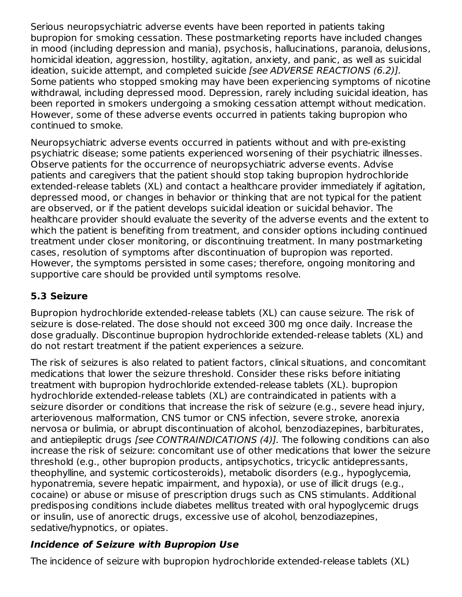Serious neuropsychiatric adverse events have been reported in patients taking bupropion for smoking cessation. These postmarketing reports have included changes in mood (including depression and mania), psychosis, hallucinations, paranoia, delusions, homicidal ideation, aggression, hostility, agitation, anxiety, and panic, as well as suicidal ideation, suicide attempt, and completed suicide [see ADVERSE REACTIONS (6.2)]. Some patients who stopped smoking may have been experiencing symptoms of nicotine withdrawal, including depressed mood. Depression, rarely including suicidal ideation, has been reported in smokers undergoing a smoking cessation attempt without medication. However, some of these adverse events occurred in patients taking bupropion who continued to smoke.

Neuropsychiatric adverse events occurred in patients without and with pre-existing psychiatric disease; some patients experienced worsening of their psychiatric illnesses. Observe patients for the occurrence of neuropsychiatric adverse events. Advise patients and caregivers that the patient should stop taking bupropion hydrochloride extended-release tablets (XL) and contact a healthcare provider immediately if agitation, depressed mood, or changes in behavior or thinking that are not typical for the patient are observed, or if the patient develops suicidal ideation or suicidal behavior. The healthcare provider should evaluate the severity of the adverse events and the extent to which the patient is benefiting from treatment, and consider options including continued treatment under closer monitoring, or discontinuing treatment. In many postmarketing cases, resolution of symptoms after discontinuation of bupropion was reported. However, the symptoms persisted in some cases; therefore, ongoing monitoring and supportive care should be provided until symptoms resolve.

# **5.3 Seizure**

Bupropion hydrochloride extended-release tablets (XL) can cause seizure. The risk of seizure is dose-related. The dose should not exceed 300 mg once daily. Increase the dose gradually. Discontinue bupropion hydrochloride extended-release tablets (XL) and do not restart treatment if the patient experiences a seizure.

The risk of seizures is also related to patient factors, clinical situations, and concomitant medications that lower the seizure threshold. Consider these risks before initiating treatment with bupropion hydrochloride extended-release tablets (XL). bupropion hydrochloride extended-release tablets (XL) are contraindicated in patients with a seizure disorder or conditions that increase the risk of seizure (e.g., severe head injury, arteriovenous malformation, CNS tumor or CNS infection, severe stroke, anorexia nervosa or bulimia, or abrupt discontinuation of alcohol, benzodiazepines, barbiturates, and antiepileptic drugs [see CONTRAINDICATIONS (4)]. The following conditions can also increase the risk of seizure: concomitant use of other medications that lower the seizure threshold (e.g., other bupropion products, antipsychotics, tricyclic antidepressants, theophylline, and systemic corticosteroids), metabolic disorders (e.g., hypoglycemia, hyponatremia, severe hepatic impairment, and hypoxia), or use of illicit drugs (e.g., cocaine) or abuse or misuse of prescription drugs such as CNS stimulants. Additional predisposing conditions include diabetes mellitus treated with oral hypoglycemic drugs or insulin, use of anorectic drugs, excessive use of alcohol, benzodiazepines, sedative/hypnotics, or opiates.

## **Incidence of Seizure with Bupropion Use**

The incidence of seizure with bupropion hydrochloride extended-release tablets (XL)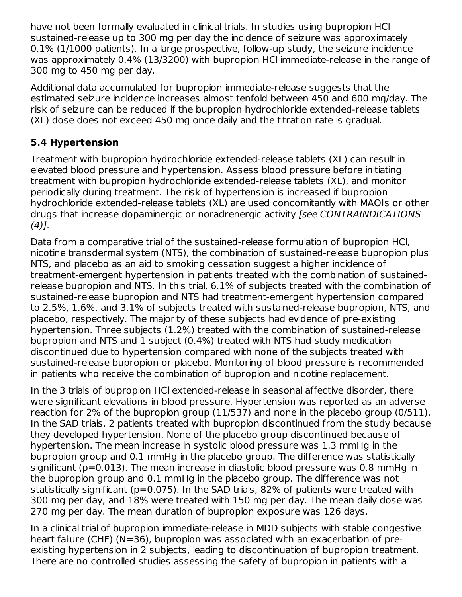have not been formally evaluated in clinical trials. In studies using bupropion HCl sustained-release up to 300 mg per day the incidence of seizure was approximately 0.1% (1/1000 patients). In a large prospective, follow-up study, the seizure incidence was approximately 0.4% (13/3200) with bupropion HCl immediate-release in the range of 300 mg to 450 mg per day.

Additional data accumulated for bupropion immediate-release suggests that the estimated seizure incidence increases almost tenfold between 450 and 600 mg/day. The risk of seizure can be reduced if the bupropion hydrochloride extended-release tablets (XL) dose does not exceed 450 mg once daily and the titration rate is gradual.

#### **5.4 Hypertension**

Treatment with bupropion hydrochloride extended-release tablets (XL) can result in elevated blood pressure and hypertension. Assess blood pressure before initiating treatment with bupropion hydrochloride extended-release tablets (XL), and monitor periodically during treatment. The risk of hypertension is increased if bupropion hydrochloride extended-release tablets (XL) are used concomitantly with MAOIs or other drugs that increase dopaminergic or noradrenergic activity [see CONTRAINDICATIONS  $(4)$ ].

Data from a comparative trial of the sustained-release formulation of bupropion HCl, nicotine transdermal system (NTS), the combination of sustained-release bupropion plus NTS, and placebo as an aid to smoking cessation suggest a higher incidence of treatment-emergent hypertension in patients treated with the combination of sustainedrelease bupropion and NTS. In this trial, 6.1% of subjects treated with the combination of sustained-release bupropion and NTS had treatment-emergent hypertension compared to 2.5%, 1.6%, and 3.1% of subjects treated with sustained-release bupropion, NTS, and placebo, respectively. The majority of these subjects had evidence of pre-existing hypertension. Three subjects (1.2%) treated with the combination of sustained-release bupropion and NTS and 1 subject (0.4%) treated with NTS had study medication discontinued due to hypertension compared with none of the subjects treated with sustained-release bupropion or placebo. Monitoring of blood pressure is recommended in patients who receive the combination of bupropion and nicotine replacement.

In the 3 trials of bupropion HCl extended-release in seasonal affective disorder, there were significant elevations in blood pressure. Hypertension was reported as an adverse reaction for 2% of the bupropion group (11/537) and none in the placebo group (0/511). In the SAD trials, 2 patients treated with bupropion discontinued from the study because they developed hypertension. None of the placebo group discontinued because of hypertension. The mean increase in systolic blood pressure was 1.3 mmHg in the bupropion group and 0.1 mmHg in the placebo group. The difference was statistically significant (p=0.013). The mean increase in diastolic blood pressure was 0.8 mmHg in the bupropion group and 0.1 mmHg in the placebo group. The difference was not statistically significant (p=0.075). In the SAD trials, 82% of patients were treated with 300 mg per day, and 18% were treated with 150 mg per day. The mean daily dose was 270 mg per day. The mean duration of bupropion exposure was 126 days.

In a clinical trial of bupropion immediate-release in MDD subjects with stable congestive heart failure (CHF) (N=36), bupropion was associated with an exacerbation of preexisting hypertension in 2 subjects, leading to discontinuation of bupropion treatment. There are no controlled studies assessing the safety of bupropion in patients with a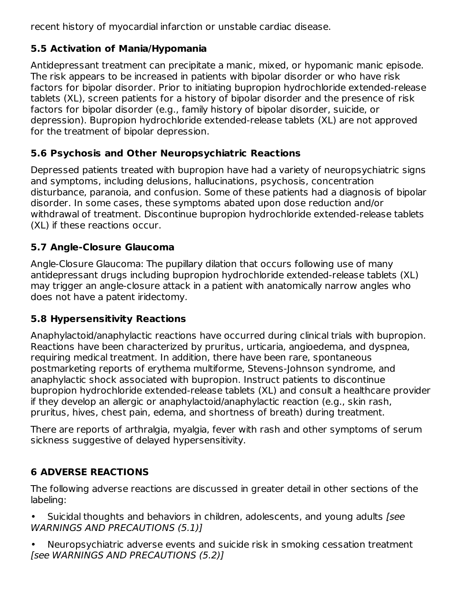recent history of myocardial infarction or unstable cardiac disease.

## **5.5 Activation of Mania/Hypomania**

Antidepressant treatment can precipitate a manic, mixed, or hypomanic manic episode. The risk appears to be increased in patients with bipolar disorder or who have risk factors for bipolar disorder. Prior to initiating bupropion hydrochloride extended-release tablets (XL), screen patients for a history of bipolar disorder and the presence of risk factors for bipolar disorder (e.g., family history of bipolar disorder, suicide, or depression). Bupropion hydrochloride extended-release tablets (XL) are not approved for the treatment of bipolar depression.

## **5.6 Psychosis and Other Neuropsychiatric Reactions**

Depressed patients treated with bupropion have had a variety of neuropsychiatric signs and symptoms, including delusions, hallucinations, psychosis, concentration disturbance, paranoia, and confusion. Some of these patients had a diagnosis of bipolar disorder. In some cases, these symptoms abated upon dose reduction and/or withdrawal of treatment. Discontinue bupropion hydrochloride extended-release tablets (XL) if these reactions occur.

#### **5.7 Angle-Closure Glaucoma**

Angle-Closure Glaucoma: The pupillary dilation that occurs following use of many antidepressant drugs including bupropion hydrochloride extended-release tablets (XL) may trigger an angle-closure attack in a patient with anatomically narrow angles who does not have a patent iridectomy.

#### **5.8 Hypersensitivity Reactions**

Anaphylactoid/anaphylactic reactions have occurred during clinical trials with bupropion. Reactions have been characterized by pruritus, urticaria, angioedema, and dyspnea, requiring medical treatment. In addition, there have been rare, spontaneous postmarketing reports of erythema multiforme, Stevens-Johnson syndrome, and anaphylactic shock associated with bupropion. Instruct patients to discontinue bupropion hydrochloride extended-release tablets (XL) and consult a healthcare provider if they develop an allergic or anaphylactoid/anaphylactic reaction (e.g., skin rash, pruritus, hives, chest pain, edema, and shortness of breath) during treatment.

There are reports of arthralgia, myalgia, fever with rash and other symptoms of serum sickness suggestive of delayed hypersensitivity.

## **6 ADVERSE REACTIONS**

The following adverse reactions are discussed in greater detail in other sections of the labeling:

- Suicidal thoughts and behaviors in children, adolescents, and young adults [see] WARNINGS AND PRECAUTIONS (5.1)]
- Neuropsychiatric adverse events and suicide risk in smoking cessation treatment [see WARNINGS AND PRECAUTIONS (5.2)]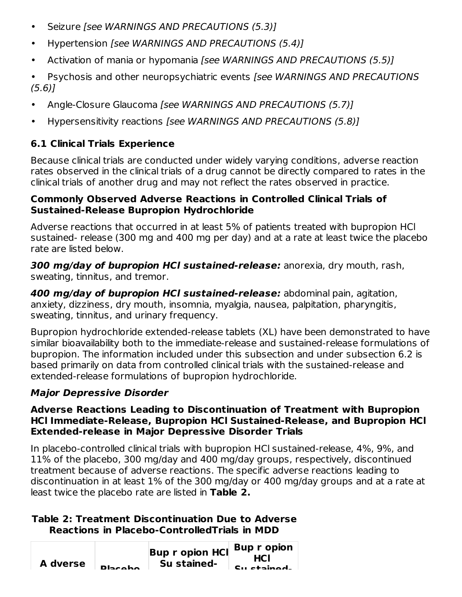- Seizure [see WARNINGS AND PRECAUTIONS (5.3)]
- Hypertension [see WARNINGS AND PRECAUTIONS (5.4)]
- Activation of mania or hypomania [see WARNINGS AND PRECAUTIONS (5.5)]
- Psychosis and other neuropsychiatric events [see WARNINGS AND PRECAUTIONS (5.6)]
- Angle-Closure Glaucoma [see WARNINGS AND PRECAUTIONS (5.7)]
- Hypersensitivity reactions [see WARNINGS AND PRECAUTIONS (5.8)]

# **6.1 Clinical Trials Experience**

Because clinical trials are conducted under widely varying conditions, adverse reaction rates observed in the clinical trials of a drug cannot be directly compared to rates in the clinical trials of another drug and may not reflect the rates observed in practice.

#### **Commonly Observed Adverse Reactions in Controlled Clinical Trials of Sustained-Release Bupropion Hydrochloride**

Adverse reactions that occurred in at least 5% of patients treated with bupropion HCl sustained- release (300 mg and 400 mg per day) and at a rate at least twice the placebo rate are listed below.

**300 mg/day of bupropion HCl sustained-release:** anorexia, dry mouth, rash, sweating, tinnitus, and tremor.

**400 mg/day of bupropion HCl sustained-release:** abdominal pain, agitation, anxiety, dizziness, dry mouth, insomnia, myalgia, nausea, palpitation, pharyngitis, sweating, tinnitus, and urinary frequency.

Bupropion hydrochloride extended-release tablets (XL) have been demonstrated to have similar bioavailability both to the immediate-release and sustained-release formulations of bupropion. The information included under this subsection and under subsection 6.2 is based primarily on data from controlled clinical trials with the sustained-release and extended-release formulations of bupropion hydrochloride.

## **Major Depressive Disorder**

#### **Adverse Reactions Leading to Discontinuation of Treatment with Bupropion HCl Immediate-Release, Bupropion HCl Sustained-Release, and Bupropion HCl Extended-release in Major Depressive Disorder Trials**

In placebo-controlled clinical trials with bupropion HCl sustained-release, 4%, 9%, and 11% of the placebo, 300 mg/day and 400 mg/day groups, respectively, discontinued treatment because of adverse reactions. The specific adverse reactions leading to discontinuation in at least 1% of the 300 mg/day or 400 mg/day groups and at a rate at least twice the placebo rate are listed in **Table 2.**

#### **Table 2: Treatment Discontinuation Due to Adverse Reactions in Placebo-ControlledTrials in MDD**

| <b>A</b> dverse | <b>Dlasaha</b> | Bup r opion HCI Bup r opion<br>Su stained- | HCl<br>$C_{II}$ otained |
|-----------------|----------------|--------------------------------------------|-------------------------|
|                 |                |                                            |                         |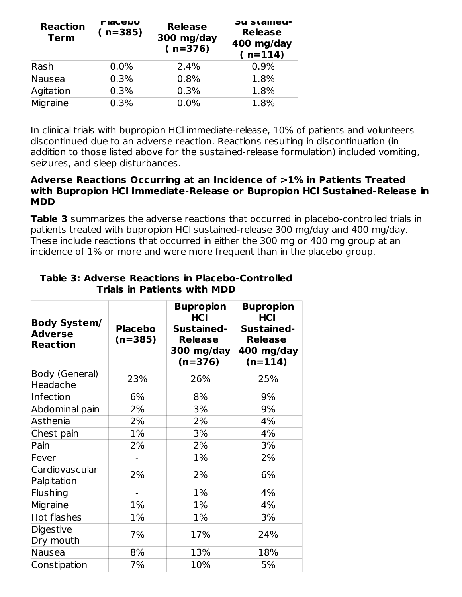| <b>Reaction</b><br><b>Term</b> | <b>FIGLEIJU</b><br>$(n=385)$ | <b>Release</b><br>300 mg/day<br>$(n=376)$ | <b>JU SLAILIEU-</b><br><b>Release</b><br>400 mg/day<br>$(n=114)$ |
|--------------------------------|------------------------------|-------------------------------------------|------------------------------------------------------------------|
| <b>Rash</b>                    | 0.0%                         | 2.4%                                      | 0.9%                                                             |
| Nausea                         | 0.3%                         | 0.8%                                      | 1.8%                                                             |
| Agitation                      | 0.3%                         | 0.3%                                      | 1.8%                                                             |
| Migraine                       | 0.3%                         | 0.0%                                      | 1.8%                                                             |

In clinical trials with bupropion HCl immediate-release, 10% of patients and volunteers discontinued due to an adverse reaction. Reactions resulting in discontinuation (in addition to those listed above for the sustained-release formulation) included vomiting, seizures, and sleep disturbances.

#### **Adverse Reactions Occurring at an Incidence of >1% in Patients Treated with Bupropion HCl Immediate-Release or Bupropion HCl Sustained-Release in MDD**

**Table 3** summarizes the adverse reactions that occurred in placebo-controlled trials in patients treated with bupropion HCl sustained-release 300 mg/day and 400 mg/day. These include reactions that occurred in either the 300 mg or 400 mg group at an incidence of 1% or more and were more frequent than in the placebo group.

| <b>Body System/</b><br><b>Adverse</b><br><b>Reaction</b> | <b>Placebo</b><br>$(n=385)$ | <b>Bupropion</b><br><b>HCI</b><br>Sustained-<br><b>Release</b><br>300 mg/day<br>$(n=376)$ | <b>Bupropion</b><br><b>HCI</b><br><b>Sustained-</b><br><b>Release</b><br>400 mg/day<br>$(n=114)$ |
|----------------------------------------------------------|-----------------------------|-------------------------------------------------------------------------------------------|--------------------------------------------------------------------------------------------------|
| Body (General)<br>Headache                               | 23%                         | 26%                                                                                       | 25%                                                                                              |
| Infection                                                | 6%                          | 8%                                                                                        | 9%                                                                                               |
| Abdominal pain                                           | 2%                          | 3%                                                                                        | 9%                                                                                               |
| Asthenia                                                 | 2%                          | 2%                                                                                        | 4%                                                                                               |
| Chest pain                                               | 1%                          | 3%                                                                                        | 4%                                                                                               |
| Pain                                                     | 2%                          | 2%                                                                                        | 3%                                                                                               |
| Fever                                                    |                             | 1%                                                                                        | 2%                                                                                               |
| Cardiovascular<br>Palpitation                            | 2%                          | 2%                                                                                        | 6%                                                                                               |
| Flushing                                                 |                             | $1\%$                                                                                     | 4%                                                                                               |
| Migraine                                                 | $1\%$                       | $1\%$                                                                                     | 4%                                                                                               |
| <b>Hot flashes</b>                                       | $1\%$                       | $1\%$                                                                                     | 3%                                                                                               |
| <b>Digestive</b><br>Dry mouth                            | 7%                          | 17%                                                                                       | 24%                                                                                              |
| Nausea                                                   | 8%                          | 13%                                                                                       | 18%                                                                                              |
| Constipation                                             | 7%                          | 10%                                                                                       | 5%                                                                                               |

#### **Table 3: Adverse Reactions in Placebo-Controlled Trials in Patients with MDD**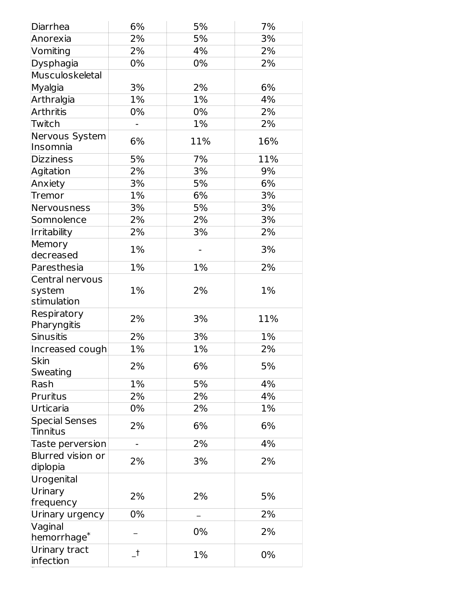| Diarrhea                          | 6%    | 5%  | 7%  |
|-----------------------------------|-------|-----|-----|
| Anorexia                          | 2%    | 5%  | 3%  |
| Vomiting                          | 2%    | 4%  | 2%  |
| Dysphagia                         | 0%    | 0%  | 2%  |
| Musculoskeletal                   |       |     |     |
| Myalgia                           | 3%    | 2%  | 6%  |
| Arthralgia                        | 1%    | 1%  | 4%  |
| <b>Arthritis</b>                  | 0%    | 0%  | 2%  |
| Twitch                            |       | 1%  | 2%  |
| Nervous System                    | 6%    | 11% | 16% |
| Insomnia                          |       |     |     |
| <b>Dizziness</b>                  | 5%    | 7%  | 11% |
| Agitation                         | 2%    | 3%  | 9%  |
| Anxiety                           | 3%    | 5%  | 6%  |
| Tremor                            | 1%    | 6%  | 3%  |
| Nervousness                       | 3%    | 5%  | 3%  |
| Somnolence                        | 2%    | 2%  | 3%  |
| Irritability                      | 2%    | 3%  | 2%  |
| Memory                            | 1%    |     | 3%  |
| decreased                         |       |     |     |
| Paresthesia                       | 1%    | 1%  | 2%  |
| Central nervous                   |       |     |     |
| system                            | 1%    | 2%  | 1%  |
| stimulation                       |       |     |     |
| Respiratory                       | 2%    | 3%  | 11% |
| Pharyngitis                       |       |     |     |
| <b>Sinusitis</b>                  | 2%    | 3%  | 1%  |
| Increased cough                   | 1%    | 1%  | 2%  |
| Skin                              | 2%    | 6%  | 5%  |
| Sweating                          |       |     |     |
| Rash                              | 1%    | 5%  | 4%  |
| Pruritus                          | 2%    | 2%  | 4%  |
| Urticaria                         | 0%    | 2%  | 1%  |
| <b>Special Senses</b><br>Tinnitus | 2%    | 6%  | 6%  |
| Taste perversion                  |       | 2%  | 4%  |
| <b>Blurred vision or</b>          | 2%    |     |     |
| diplopia                          |       | 3%  | 2%  |
| Urogenital                        |       |     |     |
| Urinary                           | 2%    | 2%  | 5%  |
| frequency                         |       |     |     |
| Urinary urgency                   | 0%    |     | 2%  |
| Vaginal                           |       | 0%  | 2%  |
| hemorrhage <sup>*</sup>           |       |     |     |
| Urinary tract                     | $\pm$ | 1%  | 0%  |
| infection                         |       |     |     |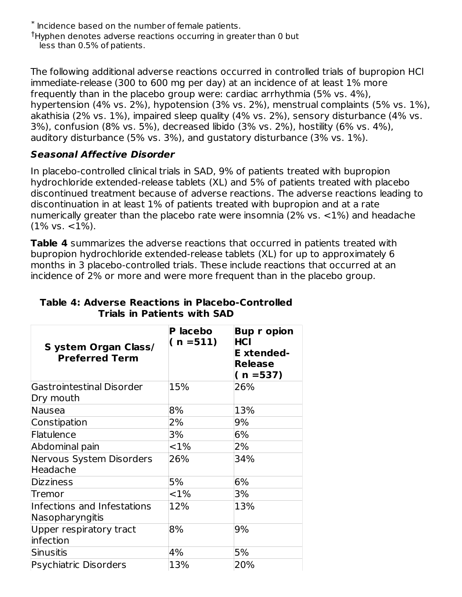$*$  Incidence based on the number of female patients.

 $^\dagger$ Hyphen denotes adverse reactions occurring in greater than 0 but less than 0.5% of patients.

The following additional adverse reactions occurred in controlled trials of bupropion HCl immediate-release (300 to 600 mg per day) at an incidence of at least 1% more frequently than in the placebo group were: cardiac arrhythmia (5% vs. 4%), hypertension (4% vs. 2%), hypotension (3% vs. 2%), menstrual complaints (5% vs. 1%), akathisia (2% vs. 1%), impaired sleep quality (4% vs. 2%), sensory disturbance (4% vs. 3%), confusion (8% vs. 5%), decreased libido (3% vs. 2%), hostility (6% vs. 4%), auditory disturbance (5% vs. 3%), and gustatory disturbance (3% vs. 1%).

#### **Seasonal Affective Disorder**

In placebo-controlled clinical trials in SAD, 9% of patients treated with bupropion hydrochloride extended-release tablets (XL) and 5% of patients treated with placebo discontinued treatment because of adverse reactions. The adverse reactions leading to discontinuation in at least 1% of patients treated with bupropion and at a rate numerically greater than the placebo rate were insomnia (2% vs. <1%) and headache  $(1\% \text{ vs. } <1\%).$ 

**Table 4** summarizes the adverse reactions that occurred in patients treated with bupropion hydrochloride extended-release tablets (XL) for up to approximately 6 months in 3 placebo-controlled trials. These include reactions that occurred at an incidence of 2% or more and were more frequent than in the placebo group.

| S ystem Organ Class/<br><b>Preferred Term</b>  | P lacebo<br>$(n = 511)$ | <b>Bup r opion</b><br><b>HCI</b><br><b>E</b> xtended-<br><b>Release</b><br>( $n = 537$ ) |
|------------------------------------------------|-------------------------|------------------------------------------------------------------------------------------|
| <b>Gastrointestinal Disorder</b><br>Dry mouth  | 15%                     | 26%                                                                                      |
| <b>Nausea</b>                                  | 8%                      | 13%                                                                                      |
| Constipation                                   | 2%                      | 9%                                                                                       |
| <b>Flatulence</b>                              | 3%                      | 6%                                                                                       |
| Abdominal pain                                 | ${<}1\%$                | 2%                                                                                       |
| Nervous System Disorders<br>Headache           | 26%                     | 34%                                                                                      |
| <b>Dizziness</b>                               | 5%                      | 6%                                                                                       |
| Tremor                                         | ${<}1\%$                | 3%                                                                                       |
| Infections and Infestations<br>Nasopharyngitis | 12%                     | 13%                                                                                      |
| Upper respiratory tract<br>infection           | 8%                      | 9%                                                                                       |
| <b>Sinusitis</b>                               | 4%                      | 5%                                                                                       |
| Psychiatric Disorders                          | 13%                     | 20%                                                                                      |

#### **Table 4: Adverse Reactions in Placebo-Controlled Trials in Patients with SAD**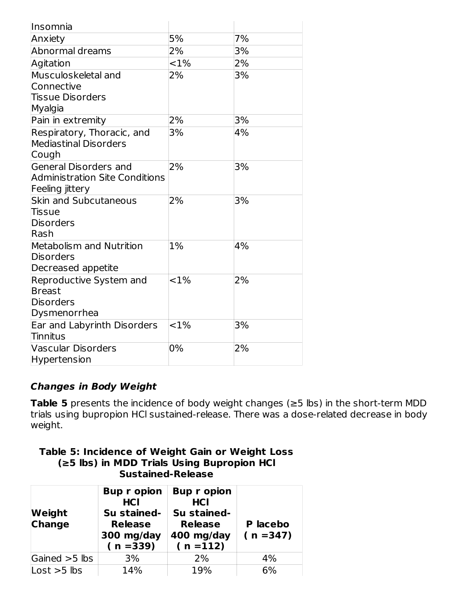| Insomnia                              |          |    |
|---------------------------------------|----------|----|
| Anxiety                               | 5%       | 7% |
| Abnormal dreams                       | 2%       | 3% |
| Agitation                             | ${<}1\%$ | 2% |
| Musculoskeletal and                   | 2%       | 3% |
| Connective                            |          |    |
| Tissue Disorders                      |          |    |
| Myalgia                               |          |    |
| Pain in extremity                     | 2%       | 3% |
| Respiratory, Thoracic, and            | 3%       | 4% |
| <b>Mediastinal Disorders</b>          |          |    |
| Cough                                 |          |    |
| <b>General Disorders and</b>          | 2%       | 3% |
| <b>Administration Site Conditions</b> |          |    |
| Feeling jittery                       |          |    |
| <b>Skin and Subcutaneous</b>          | 2%       | 3% |
| Tissue                                |          |    |
| <b>Disorders</b><br>Rash              |          |    |
| <b>Metabolism and Nutrition</b>       | 1%       | 4% |
| <b>Disorders</b>                      |          |    |
| Decreased appetite                    |          |    |
| Reproductive System and               | ${<}1\%$ | 2% |
| <b>Breast</b>                         |          |    |
| <b>Disorders</b>                      |          |    |
| Dysmenorrhea                          |          |    |
| Ear and Labyrinth Disorders           | $< 1\%$  | 3% |
| Tinnitus                              |          |    |
| <b>Vascular Disorders</b>             | 0%       | 2% |
| <b>Hypertension</b>                   |          |    |

## **Changes in Body Weight**

**Table 5** presents the incidence of body weight changes (≥5 lbs) in the short-term MDD trials using bupropion HCl sustained-release. There was a dose-related decrease in body weight.

#### **Table 5: Incidence of Weight Gain or Weight Loss (≥5 lbs) in MDD Trials Using Bupropion HCl Sustained-Release**

| Weight<br><b>Change</b> | <b>Bup r opion</b><br><b>HCI</b><br>Su stained-<br><b>Release</b><br>300 mg/day<br>$(n = 339)$ | <b>Bup r opion</b><br><b>HCI</b><br>Su stained-<br><b>Release</b><br>400 mg/day<br>$(n = 112)$ | P lacebo<br>$(n = 347)$ |
|-------------------------|------------------------------------------------------------------------------------------------|------------------------------------------------------------------------------------------------|-------------------------|
| Gained $>5$ lbs         | 3%                                                                                             | 2%                                                                                             | 4%                      |
| Lost $>5$ lbs           | 14%                                                                                            | 19%                                                                                            | 6%                      |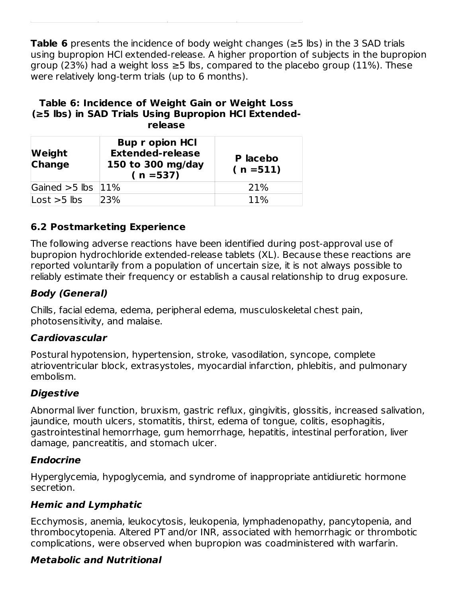**Table 6** presents the incidence of body weight changes (≥5 lbs) in the 3 SAD trials using bupropion HCl extended-release. A higher proportion of subjects in the bupropion group (23%) had a weight loss  $\geq$ 5 lbs, compared to the placebo group (11%). These were relatively long-term trials (up to 6 months).

#### **Table 6: Incidence of Weight Gain or Weight Loss (≥5 lbs) in SAD Trials Using Bupropion HCl Extendedrelease**

| Weight<br>Change        | <b>Bup r opion HCI</b><br><b>Extended-release</b><br>150 to 300 mg/day<br>$(n = 537)$ | P lacebo<br>$(n = 511)$ |
|-------------------------|---------------------------------------------------------------------------------------|-------------------------|
| Gained $>5$ lbs         | $11\%$                                                                                | 21%                     |
| $\textsf{Loss} > 5$ lbs | 23%                                                                                   | 11%                     |

# **6.2 Postmarketing Experience**

The following adverse reactions have been identified during post-approval use of bupropion hydrochloride extended-release tablets (XL). Because these reactions are reported voluntarily from a population of uncertain size, it is not always possible to reliably estimate their frequency or establish a causal relationship to drug exposure.

# **Body (General)**

Chills, facial edema, edema, peripheral edema, musculoskeletal chest pain, photosensitivity, and malaise.

#### **Cardiovascular**

Postural hypotension, hypertension, stroke, vasodilation, syncope, complete atrioventricular block, extrasystoles, myocardial infarction, phlebitis, and pulmonary embolism.

## **Digestive**

Abnormal liver function, bruxism, gastric reflux, gingivitis, glossitis, increased salivation, jaundice, mouth ulcers, stomatitis, thirst, edema of tongue, colitis, esophagitis, gastrointestinal hemorrhage, gum hemorrhage, hepatitis, intestinal perforation, liver damage, pancreatitis, and stomach ulcer.

#### **Endocrine**

Hyperglycemia, hypoglycemia, and syndrome of inappropriate antidiuretic hormone secretion.

## **Hemic and Lymphatic**

Ecchymosis, anemia, leukocytosis, leukopenia, lymphadenopathy, pancytopenia, and thrombocytopenia. Altered PT and/or INR, associated with hemorrhagic or thrombotic complications, were observed when bupropion was coadministered with warfarin.

## **Metabolic and Nutritional**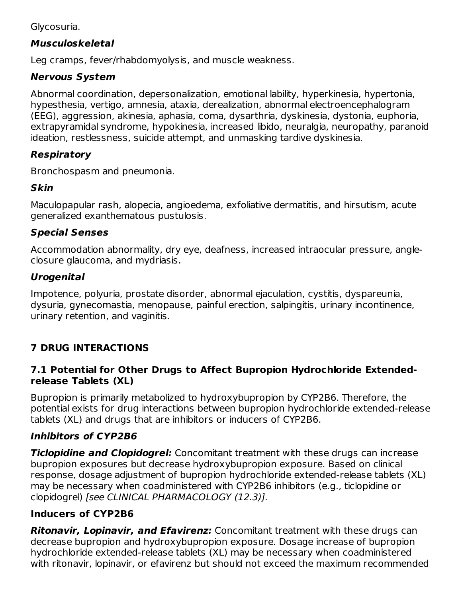Glycosuria.

#### **Musculoskeletal**

Leg cramps, fever/rhabdomyolysis, and muscle weakness.

#### **Nervous System**

Abnormal coordination, depersonalization, emotional lability, hyperkinesia, hypertonia, hypesthesia, vertigo, amnesia, ataxia, derealization, abnormal electroencephalogram (EEG), aggression, akinesia, aphasia, coma, dysarthria, dyskinesia, dystonia, euphoria, extrapyramidal syndrome, hypokinesia, increased libido, neuralgia, neuropathy, paranoid ideation, restlessness, suicide attempt, and unmasking tardive dyskinesia.

## **Respiratory**

Bronchospasm and pneumonia.

# **Skin**

Maculopapular rash, alopecia, angioedema, exfoliative dermatitis, and hirsutism, acute generalized exanthematous pustulosis.

## **Special Senses**

Accommodation abnormality, dry eye, deafness, increased intraocular pressure, angleclosure glaucoma, and mydriasis.

# **Urogenital**

Impotence, polyuria, prostate disorder, abnormal ejaculation, cystitis, dyspareunia, dysuria, gynecomastia, menopause, painful erection, salpingitis, urinary incontinence, urinary retention, and vaginitis.

# **7 DRUG INTERACTIONS**

#### **7.1 Potential for Other Drugs to Affect Bupropion Hydrochloride Extendedrelease Tablets (XL)**

Bupropion is primarily metabolized to hydroxybupropion by CYP2B6. Therefore, the potential exists for drug interactions between bupropion hydrochloride extended-release tablets (XL) and drugs that are inhibitors or inducers of CYP2B6.

## **Inhibitors of CYP2B6**

**Ticlopidine and Clopidogrel:** Concomitant treatment with these drugs can increase bupropion exposures but decrease hydroxybupropion exposure. Based on clinical response, dosage adjustment of bupropion hydrochloride extended-release tablets (XL) may be necessary when coadministered with CYP2B6 inhibitors (e.g., ticlopidine or clopidogrel) [see CLINICAL PHARMACOLOGY (12.3)].

## **Inducers of CYP2B6**

**Ritonavir, Lopinavir, and Efavirenz:** Concomitant treatment with these drugs can decrease bupropion and hydroxybupropion exposure. Dosage increase of bupropion hydrochloride extended-release tablets (XL) may be necessary when coadministered with ritonavir, lopinavir, or efavirenz but should not exceed the maximum recommended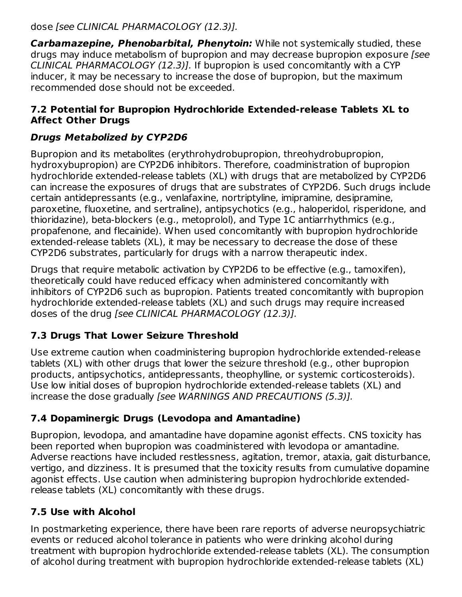#### dose [see CLINICAL PHARMACOLOGY (12.3)].

**Carbamazepine, Phenobarbital, Phenytoin:** While not systemically studied, these drugs may induce metabolism of bupropion and may decrease bupropion exposure [see CLINICAL PHARMACOLOGY (12.3)]. If bupropion is used concomitantly with a CYP inducer, it may be necessary to increase the dose of bupropion, but the maximum recommended dose should not be exceeded.

#### **7.2 Potential for Bupropion Hydrochloride Extended-release Tablets XL to Affect Other Drugs**

#### **Drugs Metabolized by CYP2D6**

Bupropion and its metabolites (erythrohydrobupropion, threohydrobupropion, hydroxybupropion) are CYP2D6 inhibitors. Therefore, coadministration of bupropion hydrochloride extended-release tablets (XL) with drugs that are metabolized by CYP2D6 can increase the exposures of drugs that are substrates of CYP2D6. Such drugs include certain antidepressants (e.g., venlafaxine, nortriptyline, imipramine, desipramine, paroxetine, fluoxetine, and sertraline), antipsychotics (e.g., haloperidol, risperidone, and thioridazine), beta-blockers (e.g., metoprolol), and Type 1C antiarrhythmics (e.g., propafenone, and flecainide). When used concomitantly with bupropion hydrochloride extended-release tablets (XL), it may be necessary to decrease the dose of these CYP2D6 substrates, particularly for drugs with a narrow therapeutic index.

Drugs that require metabolic activation by CYP2D6 to be effective (e.g., tamoxifen), theoretically could have reduced efficacy when administered concomitantly with inhibitors of CYP2D6 such as bupropion. Patients treated concomitantly with bupropion hydrochloride extended-release tablets (XL) and such drugs may require increased doses of the drug [see CLINICAL PHARMACOLOGY (12.3)].

## **7.3 Drugs That Lower Seizure Threshold**

Use extreme caution when coadministering bupropion hydrochloride extended-release tablets (XL) with other drugs that lower the seizure threshold (e.g., other bupropion products, antipsychotics, antidepressants, theophylline, or systemic corticosteroids). Use low initial doses of bupropion hydrochloride extended-release tablets (XL) and increase the dose gradually [see WARNINGS AND PRECAUTIONS (5.3)].

## **7.4 Dopaminergic Drugs (Levodopa and Amantadine)**

Bupropion, levodopa, and amantadine have dopamine agonist effects. CNS toxicity has been reported when bupropion was coadministered with levodopa or amantadine. Adverse reactions have included restlessness, agitation, tremor, ataxia, gait disturbance, vertigo, and dizziness. It is presumed that the toxicity results from cumulative dopamine agonist effects. Use caution when administering bupropion hydrochloride extendedrelease tablets (XL) concomitantly with these drugs.

#### **7.5 Use with Alcohol**

In postmarketing experience, there have been rare reports of adverse neuropsychiatric events or reduced alcohol tolerance in patients who were drinking alcohol during treatment with bupropion hydrochloride extended-release tablets (XL). The consumption of alcohol during treatment with bupropion hydrochloride extended-release tablets (XL)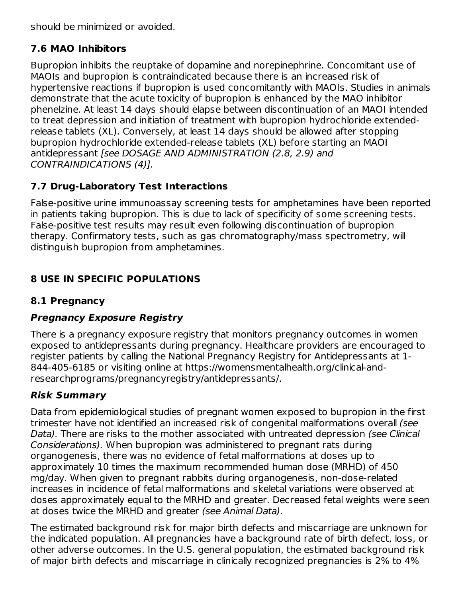should be minimized or avoided.

# **7.6 MAO Inhibitors**

Bupropion inhibits the reuptake of dopamine and norepinephrine. Concomitant use of MAOIs and bupropion is contraindicated because there is an increased risk of hypertensive reactions if bupropion is used concomitantly with MAOIs. Studies in animals demonstrate that the acute toxicity of bupropion is enhanced by the MAO inhibitor phenelzine. At least 14 days should elapse between discontinuation of an MAOI intended to treat depression and initiation of treatment with bupropion hydrochloride extendedrelease tablets (XL). Conversely, at least 14 days should be allowed after stopping bupropion hydrochloride extended-release tablets (XL) before starting an MAOI antidepressant [see DOSAGE AND ADMINISTRATION (2.8, 2.9) and CONTRAINDICATIONS (4)].

## **7.7 Drug-Laboratory Test Interactions**

False-positive urine immunoassay screening tests for amphetamines have been reported in patients taking bupropion. This is due to lack of specificity of some screening tests. False-positive test results may result even following discontinuation of bupropion therapy. Confirmatory tests, such as gas chromatography/mass spectrometry, will distinguish bupropion from amphetamines.

# **8 USE IN SPECIFIC POPULATIONS**

## **8.1 Pregnancy**

## **Pregnancy Exposure Registry**

There is a pregnancy exposure registry that monitors pregnancy outcomes in women exposed to antidepressants during pregnancy. Healthcare providers are encouraged to register patients by calling the National Pregnancy Registry for Antidepressants at 1- 844-405-6185 or visiting online at https://womensmentalhealth.org/clinical-andresearchprograms/pregnancyregistry/antidepressants/.

# **Risk Summary**

Data from epidemiological studies of pregnant women exposed to bupropion in the first trimester have not identified an increased risk of congenital malformations overall (see Data). There are risks to the mother associated with untreated depression (see Clinical Considerations). When bupropion was administered to pregnant rats during organogenesis, there was no evidence of fetal malformations at doses up to approximately 10 times the maximum recommended human dose (MRHD) of 450 mg/day. When given to pregnant rabbits during organogenesis, non-dose-related increases in incidence of fetal malformations and skeletal variations were observed at doses approximately equal to the MRHD and greater. Decreased fetal weights were seen at doses twice the MRHD and greater (see Animal Data).

The estimated background risk for major birth defects and miscarriage are unknown for the indicated population. All pregnancies have a background rate of birth defect, loss, or other adverse outcomes. In the U.S. general population, the estimated background risk of major birth defects and miscarriage in clinically recognized pregnancies is 2% to 4%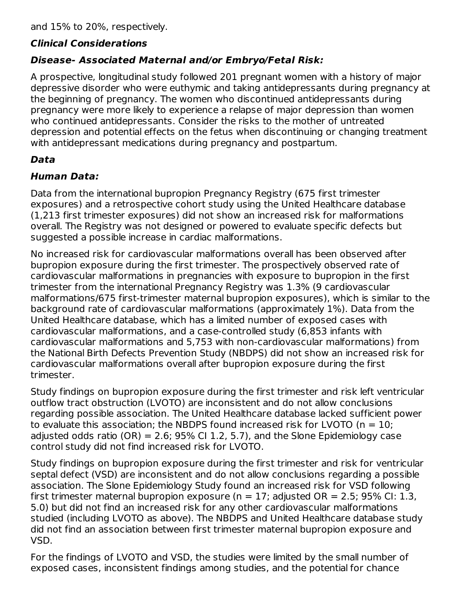and 15% to 20%, respectively.

#### **Clinical Considerations**

#### **Disease- Associated Maternal and/or Embryo/Fetal Risk:**

A prospective, longitudinal study followed 201 pregnant women with a history of major depressive disorder who were euthymic and taking antidepressants during pregnancy at the beginning of pregnancy. The women who discontinued antidepressants during pregnancy were more likely to experience a relapse of major depression than women who continued antidepressants. Consider the risks to the mother of untreated depression and potential effects on the fetus when discontinuing or changing treatment with antidepressant medications during pregnancy and postpartum.

# **Data**

#### **Human Data:**

Data from the international bupropion Pregnancy Registry (675 first trimester exposures) and a retrospective cohort study using the United Healthcare database (1,213 first trimester exposures) did not show an increased risk for malformations overall. The Registry was not designed or powered to evaluate specific defects but suggested a possible increase in cardiac malformations.

No increased risk for cardiovascular malformations overall has been observed after bupropion exposure during the first trimester. The prospectively observed rate of cardiovascular malformations in pregnancies with exposure to bupropion in the first trimester from the international Pregnancy Registry was 1.3% (9 cardiovascular malformations/675 first-trimester maternal bupropion exposures), which is similar to the background rate of cardiovascular malformations (approximately 1%). Data from the United Healthcare database, which has a limited number of exposed cases with cardiovascular malformations, and a case-controlled study (6,853 infants with cardiovascular malformations and 5,753 with non-cardiovascular malformations) from the National Birth Defects Prevention Study (NBDPS) did not show an increased risk for cardiovascular malformations overall after bupropion exposure during the first trimester.

Study findings on bupropion exposure during the first trimester and risk left ventricular outflow tract obstruction (LVOTO) are inconsistent and do not allow conclusions regarding possible association. The United Healthcare database lacked sufficient power to evaluate this association; the NBDPS found increased risk for LVOTO ( $n = 10$ ; adjusted odds ratio (OR) = 2.6; 95% CI 1.2, 5.7), and the Slone Epidemiology case control study did not find increased risk for LVOTO.

Study findings on bupropion exposure during the first trimester and risk for ventricular septal defect (VSD) are inconsistent and do not allow conclusions regarding a possible association. The Slone Epidemiology Study found an increased risk for VSD following first trimester maternal bupropion exposure ( $n = 17$ ; adjusted OR = 2.5; 95% CI: 1.3, 5.0) but did not find an increased risk for any other cardiovascular malformations studied (including LVOTO as above). The NBDPS and United Healthcare database study did not find an association between first trimester maternal bupropion exposure and VSD.

For the findings of LVOTO and VSD, the studies were limited by the small number of exposed cases, inconsistent findings among studies, and the potential for chance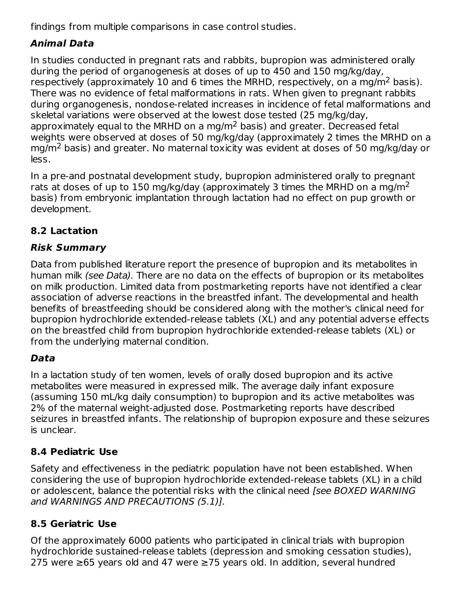findings from multiple comparisons in case control studies.

# **Animal Data**

In studies conducted in pregnant rats and rabbits, bupropion was administered orally during the period of organogenesis at doses of up to 450 and 150 mg/kg/day, respectively (approximately 10 and 6 times the MRHD, respectively, on a mg/m<sup>2</sup> basis). There was no evidence of fetal malformations in rats. When given to pregnant rabbits during organogenesis, nondose-related increases in incidence of fetal malformations and skeletal variations were observed at the lowest dose tested (25 mg/kg/day, approximately equal to the MRHD on a mg/m<sup>2</sup> basis) and greater. Decreased fetal weights were observed at doses of 50 mg/kg/day (approximately 2 times the MRHD on a mg/m<sup>2</sup> basis) and greater. No maternal toxicity was evident at doses of 50 mg/kg/day or less.

In a pre-and postnatal development study, bupropion administered orally to pregnant rats at doses of up to 150 mg/kg/day (approximately 3 times the MRHD on a mg/m<sup>2</sup> basis) from embryonic implantation through lactation had no effect on pup growth or development.

# **8.2 Lactation**

# **Risk Summary**

Data from published literature report the presence of bupropion and its metabolites in human milk (see Data). There are no data on the effects of bupropion or its metabolites on milk production. Limited data from postmarketing reports have not identified a clear association of adverse reactions in the breastfed infant. The developmental and health benefits of breastfeeding should be considered along with the mother's clinical need for bupropion hydrochloride extended-release tablets (XL) and any potential adverse effects on the breastfed child from bupropion hydrochloride extended-release tablets (XL) or from the underlying maternal condition.

## **Data**

In a lactation study of ten women, levels of orally dosed bupropion and its active metabolites were measured in expressed milk. The average daily infant exposure (assuming 150 mL/kg daily consumption) to bupropion and its active metabolites was 2% of the maternal weight-adjusted dose. Postmarketing reports have described seizures in breastfed infants. The relationship of bupropion exposure and these seizures is unclear.

# **8.4 Pediatric Use**

Safety and effectiveness in the pediatric population have not been established. When considering the use of bupropion hydrochloride extended-release tablets (XL) in a child or adolescent, balance the potential risks with the clinical need [see BOXED WARNING] and WARNINGS AND PRECAUTIONS (5.1)].

# **8.5 Geriatric Use**

Of the approximately 6000 patients who participated in clinical trials with bupropion hydrochloride sustained-release tablets (depression and smoking cessation studies), 275 were ≥65 years old and 47 were ≥75 years old. In addition, several hundred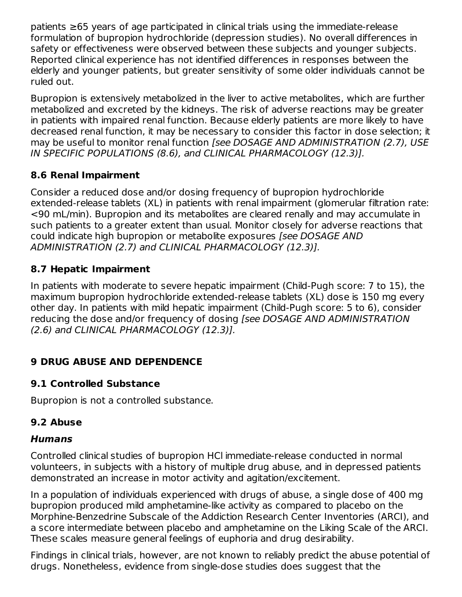patients ≥65 years of age participated in clinical trials using the immediate-release formulation of bupropion hydrochloride (depression studies). No overall differences in safety or effectiveness were observed between these subjects and younger subjects. Reported clinical experience has not identified differences in responses between the elderly and younger patients, but greater sensitivity of some older individuals cannot be ruled out.

Bupropion is extensively metabolized in the liver to active metabolites, which are further metabolized and excreted by the kidneys. The risk of adverse reactions may be greater in patients with impaired renal function. Because elderly patients are more likely to have decreased renal function, it may be necessary to consider this factor in dose selection; it may be useful to monitor renal function *[see DOSAGE AND ADMINISTRATION (2.7), USE* IN SPECIFIC POPULATIONS (8.6), and CLINICAL PHARMACOLOGY (12.3)].

#### **8.6 Renal Impairment**

Consider a reduced dose and/or dosing frequency of bupropion hydrochloride extended-release tablets (XL) in patients with renal impairment (glomerular filtration rate: <90 mL/min). Bupropion and its metabolites are cleared renally and may accumulate in such patients to a greater extent than usual. Monitor closely for adverse reactions that could indicate high bupropion or metabolite exposures [see DOSAGE AND ADMINISTRATION (2.7) and CLINICAL PHARMACOLOGY (12.3)].

#### **8.7 Hepatic Impairment**

In patients with moderate to severe hepatic impairment (Child-Pugh score: 7 to 15), the maximum bupropion hydrochloride extended-release tablets (XL) dose is 150 mg every other day. In patients with mild hepatic impairment (Child-Pugh score: 5 to 6), consider reducing the dose and/or frequency of dosing [see DOSAGE AND ADMINISTRATION (2.6) and CLINICAL PHARMACOLOGY (12.3)].

## **9 DRUG ABUSE AND DEPENDENCE**

## **9.1 Controlled Substance**

Bupropion is not a controlled substance.

## **9.2 Abuse**

#### **Humans**

Controlled clinical studies of bupropion HCl immediate-release conducted in normal volunteers, in subjects with a history of multiple drug abuse, and in depressed patients demonstrated an increase in motor activity and agitation/excitement.

In a population of individuals experienced with drugs of abuse, a single dose of 400 mg bupropion produced mild amphetamine-like activity as compared to placebo on the Morphine-Benzedrine Subscale of the Addiction Research Center Inventories (ARCI), and a score intermediate between placebo and amphetamine on the Liking Scale of the ARCI. These scales measure general feelings of euphoria and drug desirability.

Findings in clinical trials, however, are not known to reliably predict the abuse potential of drugs. Nonetheless, evidence from single-dose studies does suggest that the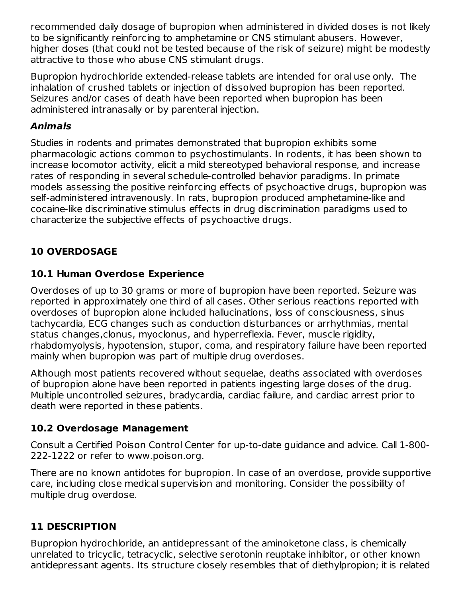recommended daily dosage of bupropion when administered in divided doses is not likely to be significantly reinforcing to amphetamine or CNS stimulant abusers. However, higher doses (that could not be tested because of the risk of seizure) might be modestly attractive to those who abuse CNS stimulant drugs.

Bupropion hydrochloride extended-release tablets are intended for oral use only. The inhalation of crushed tablets or injection of dissolved bupropion has been reported. Seizures and/or cases of death have been reported when bupropion has been administered intranasally or by parenteral injection.

#### **Animals**

Studies in rodents and primates demonstrated that bupropion exhibits some pharmacologic actions common to psychostimulants. In rodents, it has been shown to increase locomotor activity, elicit a mild stereotyped behavioral response, and increase rates of responding in several schedule-controlled behavior paradigms. In primate models assessing the positive reinforcing effects of psychoactive drugs, bupropion was self-administered intravenously. In rats, bupropion produced amphetamine-like and cocaine-like discriminative stimulus effects in drug discrimination paradigms used to characterize the subjective effects of psychoactive drugs.

# **10 OVERDOSAGE**

## **10.1 Human Overdose Experience**

Overdoses of up to 30 grams or more of bupropion have been reported. Seizure was reported in approximately one third of all cases. Other serious reactions reported with overdoses of bupropion alone included hallucinations, loss of consciousness, sinus tachycardia, ECG changes such as conduction disturbances or arrhythmias, mental status changes,clonus, myoclonus, and hyperreflexia. Fever, muscle rigidity, rhabdomyolysis, hypotension, stupor, coma, and respiratory failure have been reported mainly when bupropion was part of multiple drug overdoses.

Although most patients recovered without sequelae, deaths associated with overdoses of bupropion alone have been reported in patients ingesting large doses of the drug. Multiple uncontrolled seizures, bradycardia, cardiac failure, and cardiac arrest prior to death were reported in these patients.

#### **10.2 Overdosage Management**

Consult a Certified Poison Control Center for up-to-date guidance and advice. Call 1-800- 222-1222 or refer to www.poison.org.

There are no known antidotes for bupropion. In case of an overdose, provide supportive care, including close medical supervision and monitoring. Consider the possibility of multiple drug overdose.

## **11 DESCRIPTION**

Bupropion hydrochloride, an antidepressant of the aminoketone class, is chemically unrelated to tricyclic, tetracyclic, selective serotonin reuptake inhibitor, or other known antidepressant agents. Its structure closely resembles that of diethylpropion; it is related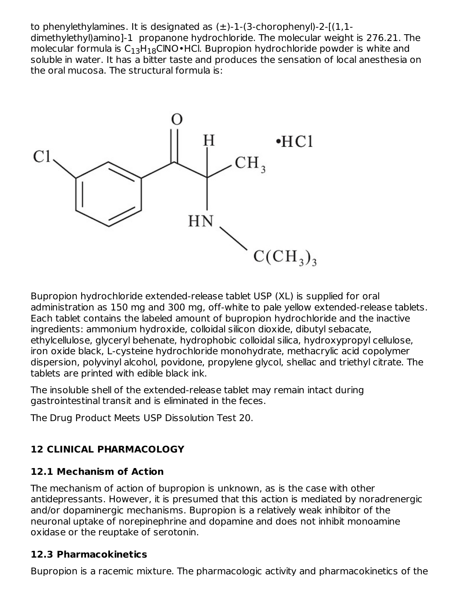to phenylethylamines. It is designated as  $(\pm)$ -1-(3-chorophenyl)-2- $(1,1$ dimethylethyl)amino]-1 propanone hydrochloride. The molecular weight is 276.21. The molecular formula is  $\mathsf{C}_{13}\mathsf{H}_{18}\mathsf{C}$ INO•HCl. Bupropion hydrochloride powder is white and soluble in water. It has a bitter taste and produces the sensation of local anesthesia on the oral mucosa. The structural formula is:



Bupropion hydrochloride extended-release tablet USP (XL) is supplied for oral administration as 150 mg and 300 mg, off-white to pale yellow extended-release tablets. Each tablet contains the labeled amount of bupropion hydrochloride and the inactive ingredients: ammonium hydroxide, colloidal silicon dioxide, dibutyl sebacate, ethylcellulose, glyceryl behenate, hydrophobic colloidal silica, hydroxypropyl cellulose, iron oxide black, L-cysteine hydrochloride monohydrate, methacrylic acid copolymer dispersion, polyvinyl alcohol, povidone, propylene glycol, shellac and triethyl citrate. The tablets are printed with edible black ink.

The insoluble shell of the extended-release tablet may remain intact during gastrointestinal transit and is eliminated in the feces.

The Drug Product Meets USP Dissolution Test 20.

# **12 CLINICAL PHARMACOLOGY**

# **12.1 Mechanism of Action**

The mechanism of action of bupropion is unknown, as is the case with other antidepressants. However, it is presumed that this action is mediated by noradrenergic and/or dopaminergic mechanisms. Bupropion is a relatively weak inhibitor of the neuronal uptake of norepinephrine and dopamine and does not inhibit monoamine oxidase or the reuptake of serotonin.

## **12.3 Pharmacokinetics**

Bupropion is a racemic mixture. The pharmacologic activity and pharmacokinetics of the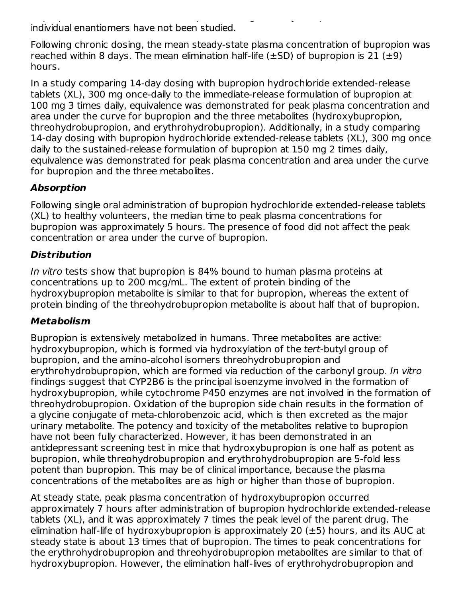$\mathbb{R}$  racemic mixture. The pharmacologic activity and pharmacologic activity and pharmacokinetics of the pharmacokinetics of the pharmacokinetics of the pharmacokinetics of the pharmacokinetics of the pharmacokinetics individual enantiomers have not been studied.

Following chronic dosing, the mean steady-state plasma concentration of bupropion was reached within 8 days. The mean elimination half-life ( $\pm$ SD) of bupropion is 21 ( $\pm$ 9) hours.

In a study comparing 14-day dosing with bupropion hydrochloride extended-release tablets (XL), 300 mg once-daily to the immediate-release formulation of bupropion at 100 mg 3 times daily, equivalence was demonstrated for peak plasma concentration and area under the curve for bupropion and the three metabolites (hydroxybupropion, threohydrobupropion, and erythrohydrobupropion). Additionally, in a study comparing 14-day dosing with bupropion hydrochloride extended-release tablets (XL), 300 mg once daily to the sustained-release formulation of bupropion at 150 mg 2 times daily, equivalence was demonstrated for peak plasma concentration and area under the curve for bupropion and the three metabolites.

# **Absorption**

Following single oral administration of bupropion hydrochloride extended-release tablets (XL) to healthy volunteers, the median time to peak plasma concentrations for bupropion was approximately 5 hours. The presence of food did not affect the peak concentration or area under the curve of bupropion.

#### **Distribution**

In vitro tests show that bupropion is 84% bound to human plasma proteins at concentrations up to 200 mcg/mL. The extent of protein binding of the hydroxybupropion metabolite is similar to that for bupropion, whereas the extent of protein binding of the threohydrobupropion metabolite is about half that of bupropion.

## **Metabolism**

Bupropion is extensively metabolized in humans. Three metabolites are active: hydroxybupropion, which is formed via hydroxylation of the tert-butyl group of bupropion, and the amino-alcohol isomers threohydrobupropion and erythrohydrobupropion, which are formed via reduction of the carbonyl group. In vitro findings suggest that CYP2B6 is the principal isoenzyme involved in the formation of hydroxybupropion, while cytochrome P450 enzymes are not involved in the formation of threohydrobupropion. Oxidation of the bupropion side chain results in the formation of a glycine conjugate of meta-chlorobenzoic acid, which is then excreted as the major urinary metabolite. The potency and toxicity of the metabolites relative to bupropion have not been fully characterized. However, it has been demonstrated in an antidepressant screening test in mice that hydroxybupropion is one half as potent as bupropion, while threohydrobupropion and erythrohydrobupropion are 5-fold less potent than bupropion. This may be of clinical importance, because the plasma concentrations of the metabolites are as high or higher than those of bupropion.

At steady state, peak plasma concentration of hydroxybupropion occurred approximately 7 hours after administration of bupropion hydrochloride extended-release tablets (XL), and it was approximately 7 times the peak level of the parent drug. The elimination half-life of hydroxybupropion is approximately 20  $(\pm 5)$  hours, and its AUC at steady state is about 13 times that of bupropion. The times to peak concentrations for the erythrohydrobupropion and threohydrobupropion metabolites are similar to that of hydroxybupropion. However, the elimination half-lives of erythrohydrobupropion and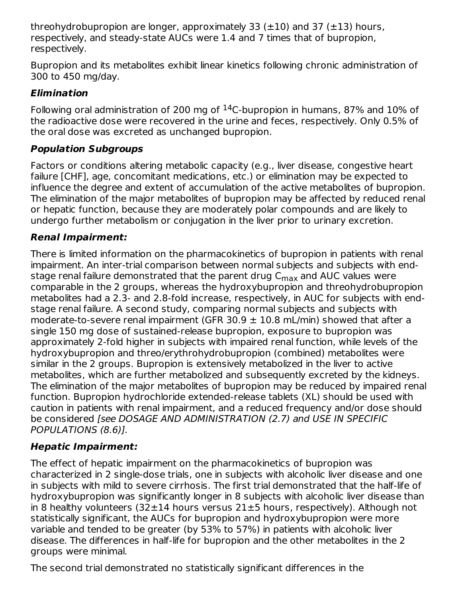threohydrobupropion are longer, approximately 33 ( $\pm$ 10) and 37 ( $\pm$ 13) hours, respectively, and steady-state AUCs were 1.4 and 7 times that of bupropion, respectively.

Bupropion and its metabolites exhibit linear kinetics following chronic administration of 300 to 450 mg/day.

#### **Elimination**

Following oral administration of 200 mg of  $^{14}$ C-bupropion in humans, 87% and 10% of the radioactive dose were recovered in the urine and feces, respectively. Only 0.5% of the oral dose was excreted as unchanged bupropion.

#### **Population Subgroups**

Factors or conditions altering metabolic capacity (e.g., liver disease, congestive heart failure [CHF], age, concomitant medications, etc.) or elimination may be expected to influence the degree and extent of accumulation of the active metabolites of bupropion. The elimination of the major metabolites of bupropion may be affected by reduced renal or hepatic function, because they are moderately polar compounds and are likely to undergo further metabolism or conjugation in the liver prior to urinary excretion.

#### **Renal Impairment:**

There is limited information on the pharmacokinetics of bupropion in patients with renal impairment. An inter-trial comparison between normal subjects and subjects with endstage renal failure demonstrated that the parent drug C<sub>max</sub> and AUC values were comparable in the 2 groups, whereas the hydroxybupropion and threohydrobupropion metabolites had a 2.3- and 2.8-fold increase, respectively, in AUC for subjects with endstage renal failure. A second study, comparing normal subjects and subjects with moderate-to-severe renal impairment (GFR 30.9  $\pm$  10.8 mL/min) showed that after a single 150 mg dose of sustained-release bupropion, exposure to bupropion was approximately 2-fold higher in subjects with impaired renal function, while levels of the hydroxybupropion and threo/erythrohydrobupropion (combined) metabolites were similar in the 2 groups. Bupropion is extensively metabolized in the liver to active metabolites, which are further metabolized and subsequently excreted by the kidneys. The elimination of the major metabolites of bupropion may be reduced by impaired renal function. Bupropion hydrochloride extended-release tablets (XL) should be used with caution in patients with renal impairment, and a reduced frequency and/or dose should be considered [see DOSAGE AND ADMINISTRATION (2.7) and USE IN SPECIFIC POPULATIONS (8.6)].

## **Hepatic Impairment:**

The effect of hepatic impairment on the pharmacokinetics of bupropion was characterized in 2 single-dose trials, one in subjects with alcoholic liver disease and one in subjects with mild to severe cirrhosis. The first trial demonstrated that the half-life of hydroxybupropion was significantly longer in 8 subjects with alcoholic liver disease than in 8 healthy volunteers  $(32\pm14$  hours versus  $21\pm5$  hours, respectively). Although not statistically significant, the AUCs for bupropion and hydroxybupropion were more variable and tended to be greater (by 53% to 57%) in patients with alcoholic liver disease. The differences in half-life for bupropion and the other metabolites in the 2 groups were minimal.

The second trial demonstrated no statistically significant differences in the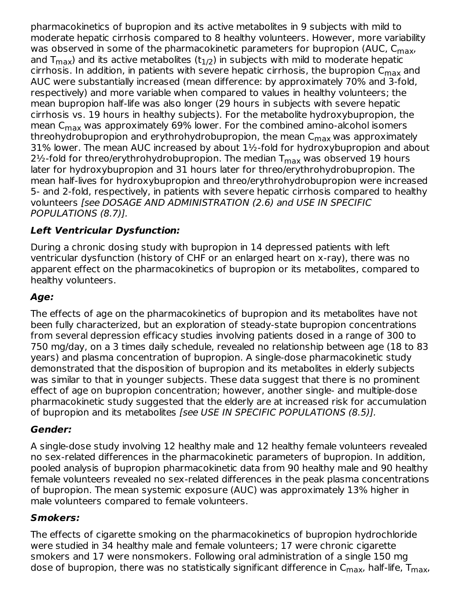pharmacokinetics of bupropion and its active metabolites in 9 subjects with mild to moderate hepatic cirrhosis compared to 8 healthy volunteers. However, more variability was observed in some of the pharmacokinetic parameters for bupropion (AUC, C<sub>max</sub>, and T $_{\sf max}$ ) and its active metabolites (t $_{1/2}$ ) in subjects with mild to moderate hepatic cirrhosis. In addition, in patients with severe hepatic cirrhosis, the bupropion  ${\sf C}_{\sf max}$  and AUC were substantially increased (mean difference: by approximately 70% and 3-fold, respectively) and more variable when compared to values in healthy volunteers; the mean bupropion half-life was also longer (29 hours in subjects with severe hepatic cirrhosis vs. 19 hours in healthy subjects). For the metabolite hydroxybupropion, the mean C $_{\sf max}$  was approximately 69% lower. For the combined amino-alcohol isomers threohydrobupropion and erythrohydrobupropion, the mean C<sub>max</sub> was approximately 31% lower. The mean AUC increased by about  $1\frac{1}{2}$ -fold for hydroxybupropion and about 2½-fold for threo/erythrohydrobupropion. The median  $\mathsf{T}_{\mathsf{max}}$  was observed 19 hours later for hydroxybupropion and 31 hours later for threo/erythrohydrobupropion. The mean half-lives for hydroxybupropion and threo/erythrohydrobupropion were increased 5- and 2-fold, respectively, in patients with severe hepatic cirrhosis compared to healthy volunteers [see DOSAGE AND ADMINISTRATION (2.6) and USE IN SPECIFIC POPULATIONS (8.7)].

## **Left Ventricular Dysfunction:**

During a chronic dosing study with bupropion in 14 depressed patients with left ventricular dysfunction (history of CHF or an enlarged heart on x-ray), there was no apparent effect on the pharmacokinetics of bupropion or its metabolites, compared to healthy volunteers.

#### **Age:**

The effects of age on the pharmacokinetics of bupropion and its metabolites have not been fully characterized, but an exploration of steady-state bupropion concentrations from several depression efficacy studies involving patients dosed in a range of 300 to 750 mg/day, on a 3 times daily schedule, revealed no relationship between age (18 to 83 years) and plasma concentration of bupropion. A single-dose pharmacokinetic study demonstrated that the disposition of bupropion and its metabolites in elderly subjects was similar to that in younger subjects. These data suggest that there is no prominent effect of age on bupropion concentration; however, another single- and multiple-dose pharmacokinetic study suggested that the elderly are at increased risk for accumulation of bupropion and its metabolites [see USE IN SPECIFIC POPULATIONS (8.5)].

#### **Gender:**

A single-dose study involving 12 healthy male and 12 healthy female volunteers revealed no sex-related differences in the pharmacokinetic parameters of bupropion. In addition, pooled analysis of bupropion pharmacokinetic data from 90 healthy male and 90 healthy female volunteers revealed no sex-related differences in the peak plasma concentrations of bupropion. The mean systemic exposure (AUC) was approximately 13% higher in male volunteers compared to female volunteers.

#### **Smokers:**

The effects of cigarette smoking on the pharmacokinetics of bupropion hydrochloride were studied in 34 healthy male and female volunteers; 17 were chronic cigarette smokers and 17 were nonsmokers. Following oral administration of a single 150 mg dose of bupropion, there was no statistically significant difference in C $_{\sf max}$ , half-life, T $_{\sf max}$ ,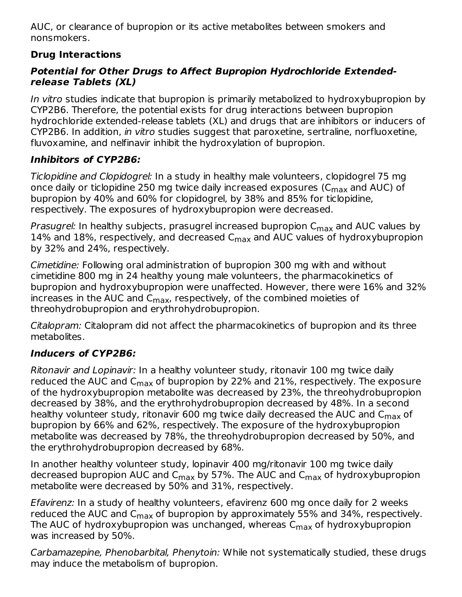AUC, or clearance of bupropion or its active metabolites between smokers and nonsmokers.

# **Drug Interactions**

#### **Potential for Other Drugs to Affect Bupropion Hydrochloride Extendedrelease Tablets (XL)**

In vitro studies indicate that bupropion is primarily metabolized to hydroxybupropion by CYP2B6. Therefore, the potential exists for drug interactions between bupropion hydrochloride extended-release tablets (XL) and drugs that are inhibitors or inducers of CYP2B6. In addition, in vitro studies suggest that paroxetine, sertraline, norfluoxetine, fluvoxamine, and nelfinavir inhibit the hydroxylation of bupropion.

#### **Inhibitors of CYP2B6:**

Ticlopidine and Clopidogrel: In a study in healthy male volunteers, clopidogrel 75 mg once daily or ticlopidine 250 mg twice daily increased exposures (C<sub>max</sub> and AUC) of bupropion by 40% and 60% for clopidogrel, by 38% and 85% for ticlopidine, respectively. The exposures of hydroxybupropion were decreased.

*Prasugrel:* In healthy subjects, prasugrel increased bupropion C<sub>max</sub> and AUC values by 14% and 18%, respectively, and decreased C $_{\sf max}$  and AUC values of hydroxybupropion by 32% and 24%, respectively.

Cimetidine: Following oral administration of bupropion 300 mg with and without cimetidine 800 mg in 24 healthy young male volunteers, the pharmacokinetics of bupropion and hydroxybupropion were unaffected. However, there were 16% and 32% increases in the AUC and C<sub>max</sub>, respectively, of the combined moieties of threohydrobupropion and erythrohydrobupropion.

Citalopram: Citalopram did not affect the pharmacokinetics of bupropion and its three metabolites.

## **Inducers of CYP2B6:**

Ritonavir and Lopinavir: In a healthy volunteer study, ritonavir 100 mg twice daily reduced the AUC and C<sub>max</sub> of bupropion by 22% and 21%, respectively. The exposure of the hydroxybupropion metabolite was decreased by 23%, the threohydrobupropion decreased by 38%, and the erythrohydrobupropion decreased by 48%. In a second healthy volunteer study, ritonavir 600 mg twice daily decreased the AUC and C<sub>max</sub> of bupropion by 66% and 62%, respectively. The exposure of the hydroxybupropion metabolite was decreased by 78%, the threohydrobupropion decreased by 50%, and the erythrohydrobupropion decreased by 68%.

In another healthy volunteer study, lopinavir 400 mg/ritonavir 100 mg twice daily decreased bupropion AUC and C<sub>max</sub> by 57%. The AUC and C<sub>max</sub> of hydroxybupropion metabolite were decreased by 50% and 31%, respectively.

Efavirenz: In a study of healthy volunteers, efavirenz 600 mg once daily for 2 weeks reduced the AUC and C<sub>max</sub> of bupropion by approximately 55% and 34%, respectively. The AUC of hydroxybupropion was unchanged, whereas C<sub>max</sub> of hydroxybupropion was increased by 50%.

Carbamazepine, Phenobarbital, Phenytoin: While not systematically studied, these drugs may induce the metabolism of bupropion.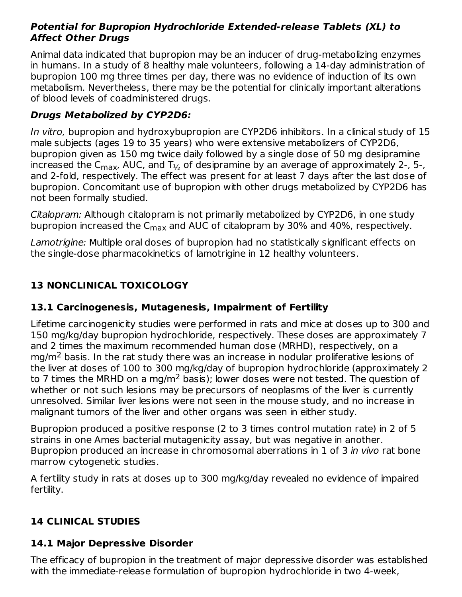#### **Potential for Bupropion Hydrochloride Extended-release Tablets (XL) to Affect Other Drugs**

Animal data indicated that bupropion may be an inducer of drug-metabolizing enzymes in humans. In a study of 8 healthy male volunteers, following a 14-day administration of bupropion 100 mg three times per day, there was no evidence of induction of its own metabolism. Nevertheless, there may be the potential for clinically important alterations of blood levels of coadministered drugs.

# **Drugs Metabolized by CYP2D6:**

In vitro, bupropion and hydroxybupropion are CYP2D6 inhibitors. In a clinical study of 15 male subjects (ages 19 to 35 years) who were extensive metabolizers of CYP2D6, bupropion given as 150 mg twice daily followed by a single dose of 50 mg desipramine increased the C<sub>max</sub>, AUC, and T $_{\rm 1\!}/_{\rm 2}$  of desipramine by an average of approximately 2-, 5-, and 2-fold, respectively. The effect was present for at least 7 days after the last dose of bupropion. Concomitant use of bupropion with other drugs metabolized by CYP2D6 has not been formally studied.

Citalopram: Although citalopram is not primarily metabolized by CYP2D6, in one study bupropion increased the  $\mathsf{C}_{\mathsf{max}}$  and AUC of citalopram by 30% and 40%, respectively.

Lamotrigine: Multiple oral doses of bupropion had no statistically significant effects on the single-dose pharmacokinetics of lamotrigine in 12 healthy volunteers.

# **13 NONCLINICAL TOXICOLOGY**

## **13.1 Carcinogenesis, Mutagenesis, Impairment of Fertility**

Lifetime carcinogenicity studies were performed in rats and mice at doses up to 300 and 150 mg/kg/day bupropion hydrochloride, respectively. These doses are approximately 7 and 2 times the maximum recommended human dose (MRHD), respectively, on a mg/m<sup>2</sup> basis. In the rat study there was an increase in nodular proliferative lesions of the liver at doses of 100 to 300 mg/kg/day of bupropion hydrochloride (approximately 2 to 7 times the MRHD on a mg/m<sup>2</sup> basis); lower doses were not tested. The question of whether or not such lesions may be precursors of neoplasms of the liver is currently unresolved. Similar liver lesions were not seen in the mouse study, and no increase in malignant tumors of the liver and other organs was seen in either study.

Bupropion produced a positive response (2 to 3 times control mutation rate) in 2 of 5 strains in one Ames bacterial mutagenicity assay, but was negative in another. Bupropion produced an increase in chromosomal aberrations in 1 of 3 in vivo rat bone marrow cytogenetic studies.

A fertility study in rats at doses up to 300 mg/kg/day revealed no evidence of impaired fertility.

## **14 CLINICAL STUDIES**

# **14.1 Major Depressive Disorder**

The efficacy of bupropion in the treatment of major depressive disorder was established with the immediate-release formulation of bupropion hydrochloride in two 4-week,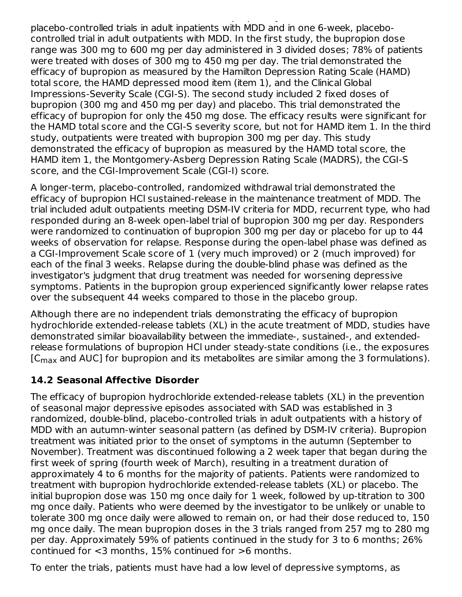with the immediate-release formulation of bupropion hydrochloride in two 4-week, with two 4-week, with two 4-w placebo-controlled trials in adult inpatients with MDD and in one 6-week, placebocontrolled trial in adult outpatients with MDD. In the first study, the bupropion dose range was 300 mg to 600 mg per day administered in 3 divided doses; 78% of patients were treated with doses of 300 mg to 450 mg per day. The trial demonstrated the efficacy of bupropion as measured by the Hamilton Depression Rating Scale (HAMD) total score, the HAMD depressed mood item (item 1), and the Clinical Global Impressions-Severity Scale (CGI-S). The second study included 2 fixed doses of bupropion (300 mg and 450 mg per day) and placebo. This trial demonstrated the efficacy of bupropion for only the 450 mg dose. The efficacy results were significant for the HAMD total score and the CGI-S severity score, but not for HAMD item 1. In the third study, outpatients were treated with bupropion 300 mg per day. This study demonstrated the efficacy of bupropion as measured by the HAMD total score, the HAMD item 1, the Montgomery-Asberg Depression Rating Scale (MADRS), the CGI-S score, and the CGI-Improvement Scale (CGI-I) score.

A longer-term, placebo-controlled, randomized withdrawal trial demonstrated the efficacy of bupropion HCl sustained-release in the maintenance treatment of MDD. The trial included adult outpatients meeting DSM-IV criteria for MDD, recurrent type, who had responded during an 8-week open-label trial of bupropion 300 mg per day. Responders were randomized to continuation of bupropion 300 mg per day or placebo for up to 44 weeks of observation for relapse. Response during the open-label phase was defined as a CGI-Improvement Scale score of 1 (very much improved) or 2 (much improved) for each of the final 3 weeks. Relapse during the double-blind phase was defined as the investigator's judgment that drug treatment was needed for worsening depressive symptoms. Patients in the bupropion group experienced significantly lower relapse rates over the subsequent 44 weeks compared to those in the placebo group.

Although there are no independent trials demonstrating the efficacy of bupropion hydrochloride extended-release tablets (XL) in the acute treatment of MDD, studies have demonstrated similar bioavailability between the immediate-, sustained-, and extendedrelease formulations of bupropion HCl under steady-state conditions (i.e., the exposures [C $_{\sf max}$  and AUC] for bupropion and its metabolites are similar among the 3 formulations).

#### **14.2 Seasonal Affective Disorder**

The efficacy of bupropion hydrochloride extended-release tablets (XL) in the prevention of seasonal major depressive episodes associated with SAD was established in 3 randomized, double-blind, placebo-controlled trials in adult outpatients with a history of MDD with an autumn-winter seasonal pattern (as defined by DSM-IV criteria). Bupropion treatment was initiated prior to the onset of symptoms in the autumn (September to November). Treatment was discontinued following a 2 week taper that began during the first week of spring (fourth week of March), resulting in a treatment duration of approximately 4 to 6 months for the majority of patients. Patients were randomized to treatment with bupropion hydrochloride extended-release tablets (XL) or placebo. The initial bupropion dose was 150 mg once daily for 1 week, followed by up-titration to 300 mg once daily. Patients who were deemed by the investigator to be unlikely or unable to tolerate 300 mg once daily were allowed to remain on, or had their dose reduced to, 150 mg once daily. The mean bupropion doses in the 3 trials ranged from 257 mg to 280 mg per day. Approximately 59% of patients continued in the study for 3 to 6 months; 26% continued for <3 months, 15% continued for >6 months.

To enter the trials, patients must have had a low level of depressive symptoms, as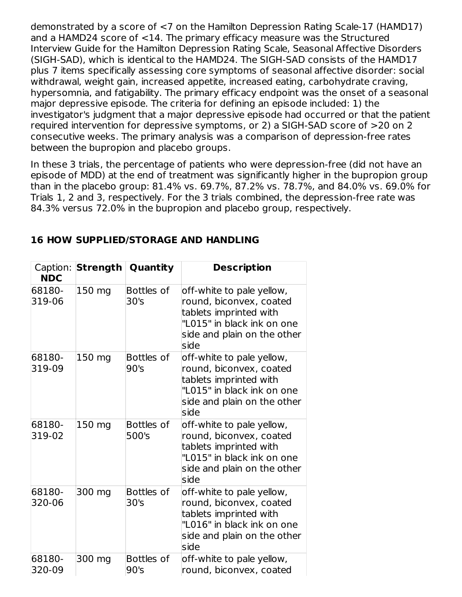demonstrated by a score of <7 on the Hamilton Depression Rating Scale-17 (HAMD17) and a HAMD24 score of <14. The primary efficacy measure was the Structured Interview Guide for the Hamilton Depression Rating Scale, Seasonal Affective Disorders (SIGH-SAD), which is identical to the HAMD24. The SIGH-SAD consists of the HAMD17 plus 7 items specifically assessing core symptoms of seasonal affective disorder: social withdrawal, weight gain, increased appetite, increased eating, carbohydrate craving, hypersomnia, and fatigability. The primary efficacy endpoint was the onset of a seasonal major depressive episode. The criteria for defining an episode included: 1) the investigator's judgment that a major depressive episode had occurred or that the patient required intervention for depressive symptoms, or 2) a SIGH-SAD score of >20 on 2 consecutive weeks. The primary analysis was a comparison of depression-free rates between the bupropion and placebo groups.

In these 3 trials, the percentage of patients who were depression-free (did not have an episode of MDD) at the end of treatment was significantly higher in the bupropion group than in the placebo group: 81.4% vs. 69.7%, 87.2% vs. 78.7%, and 84.0% vs. 69.0% for Trials 1, 2 and 3, respectively. For the 3 trials combined, the depression-free rate was 84.3% versus 72.0% in the bupropion and placebo group, respectively.

| <b>NDC</b>       |        | Caption: Strength   Quantity | <b>Description</b>                                                                                                                                  |
|------------------|--------|------------------------------|-----------------------------------------------------------------------------------------------------------------------------------------------------|
| 68180-<br>319-06 | 150 mg | Bottles of<br>30's           | off-white to pale yellow,<br>round, biconvex, coated<br>tablets imprinted with<br>"L015" in black ink on one<br>side and plain on the other<br>side |
| 68180-<br>319-09 | 150 mg | Bottles of<br>90's           | off-white to pale yellow,<br>round, biconvex, coated<br>tablets imprinted with<br>"L015" in black ink on one<br>side and plain on the other<br>side |
| 68180-<br>319-02 | 150 mg | Bottles of<br>500's          | off-white to pale yellow,<br>round, biconvex, coated<br>tablets imprinted with<br>"L015" in black ink on one<br>side and plain on the other<br>side |
| 68180-<br>320-06 | 300 mg | Bottles of<br>30's           | off-white to pale yellow,<br>round, biconvex, coated<br>tablets imprinted with<br>"L016" in black ink on one<br>side and plain on the other<br>side |
| 68180-<br>320-09 | 300 mg | Bottles of<br>90's           | off-white to pale yellow,<br>round, biconvex, coated                                                                                                |

#### **16 HOW SUPPLIED/STORAGE AND HANDLING**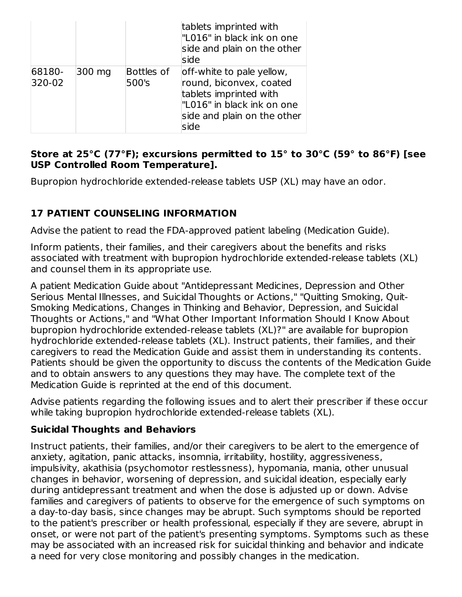|                  |        |                     | tablets imprinted with<br>"L016" in black ink on one<br>side and plain on the other<br>side                                                         |
|------------------|--------|---------------------|-----------------------------------------------------------------------------------------------------------------------------------------------------|
| 68180-<br>320-02 | 300 mg | Bottles of<br>500's | off-white to pale yellow,<br>round, biconvex, coated<br>tablets imprinted with<br>"L016" in black ink on one<br>side and plain on the other<br>side |

#### **Store at 25°C (77°F); excursions permitted to 15° to 30°C (59° to 86°F) [see USP Controlled Room Temperature].**

Bupropion hydrochloride extended-release tablets USP (XL) may have an odor.

# **17 PATIENT COUNSELING INFORMATION**

Advise the patient to read the FDA-approved patient labeling (Medication Guide).

Inform patients, their families, and their caregivers about the benefits and risks associated with treatment with bupropion hydrochloride extended-release tablets (XL) and counsel them in its appropriate use.

A patient Medication Guide about "Antidepressant Medicines, Depression and Other Serious Mental Illnesses, and Suicidal Thoughts or Actions," "Quitting Smoking, Quit-Smoking Medications, Changes in Thinking and Behavior, Depression, and Suicidal Thoughts or Actions," and "What Other Important Information Should I Know About bupropion hydrochloride extended-release tablets (XL)?" are available for bupropion hydrochloride extended-release tablets (XL). Instruct patients, their families, and their caregivers to read the Medication Guide and assist them in understanding its contents. Patients should be given the opportunity to discuss the contents of the Medication Guide and to obtain answers to any questions they may have. The complete text of the Medication Guide is reprinted at the end of this document.

Advise patients regarding the following issues and to alert their prescriber if these occur while taking bupropion hydrochloride extended-release tablets (XL).

#### **Suicidal Thoughts and Behaviors**

Instruct patients, their families, and/or their caregivers to be alert to the emergence of anxiety, agitation, panic attacks, insomnia, irritability, hostility, aggressiveness, impulsivity, akathisia (psychomotor restlessness), hypomania, mania, other unusual changes in behavior, worsening of depression, and suicidal ideation, especially early during antidepressant treatment and when the dose is adjusted up or down. Advise families and caregivers of patients to observe for the emergence of such symptoms on a day-to-day basis, since changes may be abrupt. Such symptoms should be reported to the patient's prescriber or health professional, especially if they are severe, abrupt in onset, or were not part of the patient's presenting symptoms. Symptoms such as these may be associated with an increased risk for suicidal thinking and behavior and indicate a need for very close monitoring and possibly changes in the medication.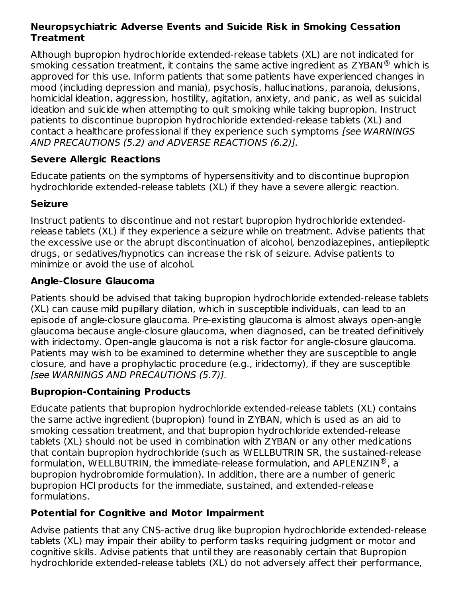#### **Neuropsychiatric Adverse Events and Suicide Risk in Smoking Cessation Treatment**

Although bupropion hydrochloride extended-release tablets (XL) are not indicated for smoking cessation treatment, it contains the same active ingredient as  $\mathsf{ZYBAN}^{\circledR}$  which is approved for this use. Inform patients that some patients have experienced changes in mood (including depression and mania), psychosis, hallucinations, paranoia, delusions, homicidal ideation, aggression, hostility, agitation, anxiety, and panic, as well as suicidal ideation and suicide when attempting to quit smoking while taking bupropion. Instruct patients to discontinue bupropion hydrochloride extended-release tablets (XL) and contact a healthcare professional if they experience such symptoms [see WARNINGS AND PRECAUTIONS (5.2) and ADVERSE REACTIONS (6.2)].

#### **Severe Allergic Reactions**

Educate patients on the symptoms of hypersensitivity and to discontinue bupropion hydrochloride extended-release tablets (XL) if they have a severe allergic reaction.

## **Seizure**

Instruct patients to discontinue and not restart bupropion hydrochloride extendedrelease tablets (XL) if they experience a seizure while on treatment. Advise patients that the excessive use or the abrupt discontinuation of alcohol, benzodiazepines, antiepileptic drugs, or sedatives/hypnotics can increase the risk of seizure. Advise patients to minimize or avoid the use of alcohol.

#### **Angle-Closure Glaucoma**

Patients should be advised that taking bupropion hydrochloride extended-release tablets (XL) can cause mild pupillary dilation, which in susceptible individuals, can lead to an episode of angle-closure glaucoma. Pre-existing glaucoma is almost always open-angle glaucoma because angle-closure glaucoma, when diagnosed, can be treated definitively with iridectomy. Open-angle glaucoma is not a risk factor for angle-closure glaucoma. Patients may wish to be examined to determine whether they are susceptible to angle closure, and have a prophylactic procedure (e.g., iridectomy), if they are susceptible [see WARNINGS AND PRECAUTIONS (5.7)].

## **Bupropion-Containing Products**

Educate patients that bupropion hydrochloride extended-release tablets (XL) contains the same active ingredient (bupropion) found in ZYBAN, which is used as an aid to smoking cessation treatment, and that bupropion hydrochloride extended-release tablets (XL) should not be used in combination with ZYBAN or any other medications that contain bupropion hydrochloride (such as WELLBUTRIN SR, the sustained-release formulation, WELLBUTRIN, the immediate-release formulation, and <code>APLENZIN®</code> , a bupropion hydrobromide formulation). In addition, there are a number of generic bupropion HCl products for the immediate, sustained, and extended-release formulations.

## **Potential for Cognitive and Motor Impairment**

Advise patients that any CNS-active drug like bupropion hydrochloride extended-release tablets (XL) may impair their ability to perform tasks requiring judgment or motor and cognitive skills. Advise patients that until they are reasonably certain that Bupropion hydrochloride extended-release tablets (XL) do not adversely affect their performance,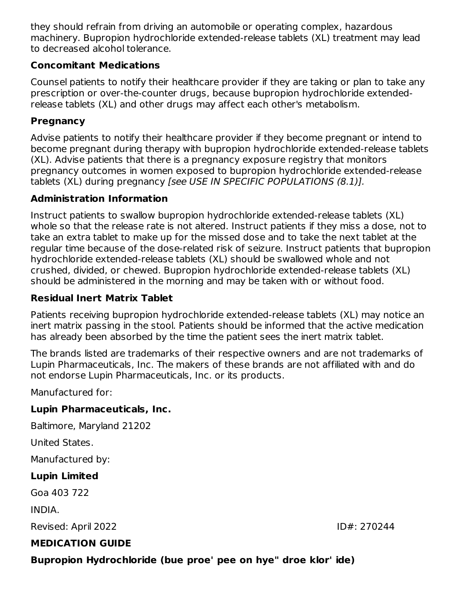they should refrain from driving an automobile or operating complex, hazardous machinery. Bupropion hydrochloride extended-release tablets (XL) treatment may lead to decreased alcohol tolerance.

#### **Concomitant Medications**

Counsel patients to notify their healthcare provider if they are taking or plan to take any prescription or over-the-counter drugs, because bupropion hydrochloride extendedrelease tablets (XL) and other drugs may affect each other's metabolism.

#### **Pregnancy**

Advise patients to notify their healthcare provider if they become pregnant or intend to become pregnant during therapy with bupropion hydrochloride extended-release tablets (XL). Advise patients that there is a pregnancy exposure registry that monitors pregnancy outcomes in women exposed to bupropion hydrochloride extended-release tablets (XL) during pregnancy [see USE IN SPECIFIC POPULATIONS (8.1)].

#### **Administration Information**

Instruct patients to swallow bupropion hydrochloride extended-release tablets (XL) whole so that the release rate is not altered. Instruct patients if they miss a dose, not to take an extra tablet to make up for the missed dose and to take the next tablet at the regular time because of the dose-related risk of seizure. Instruct patients that bupropion hydrochloride extended-release tablets (XL) should be swallowed whole and not crushed, divided, or chewed. Bupropion hydrochloride extended-release tablets (XL) should be administered in the morning and may be taken with or without food.

#### **Residual Inert Matrix Tablet**

Patients receiving bupropion hydrochloride extended-release tablets (XL) may notice an inert matrix passing in the stool. Patients should be informed that the active medication has already been absorbed by the time the patient sees the inert matrix tablet.

The brands listed are trademarks of their respective owners and are not trademarks of Lupin Pharmaceuticals, Inc. The makers of these brands are not affiliated with and do not endorse Lupin Pharmaceuticals, Inc. or its products.

Manufactured for:

## **Lupin Pharmaceuticals, Inc.**

Baltimore, Maryland 21202

United States.

Manufactured by:

#### **Lupin Limited**

Goa 403 722

INDIA.

Revised: April 2022 **ID#: 270244** 

#### **MEDICATION GUIDE**

**Bupropion Hydrochloride (bue proe' pee on hye" droe klor' ide)**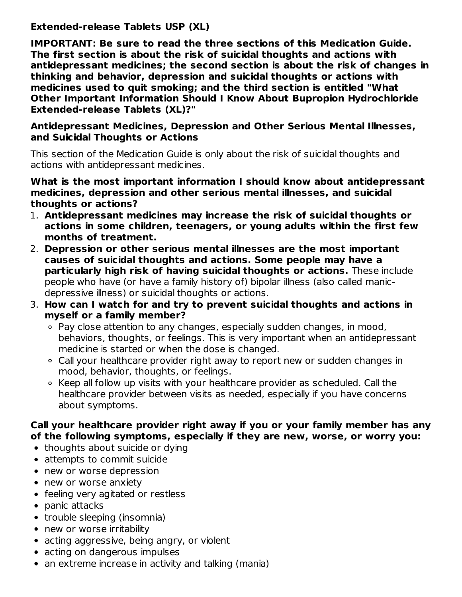**Extended-release Tablets USP (XL)**

**IMPORTANT: Be sure to read the three sections of this Medication Guide. The first section is about the risk of suicidal thoughts and actions with antidepressant medicines; the second section is about the risk of changes in thinking and behavior, depression and suicidal thoughts or actions with medicines used to quit smoking; and the third section is entitled "What Other Important Information Should I Know About Bupropion Hydrochloride Extended-release Tablets (XL)?"**

#### **Antidepressant Medicines, Depression and Other Serious Mental Illnesses, and Suicidal Thoughts or Actions**

This section of the Medication Guide is only about the risk of suicidal thoughts and actions with antidepressant medicines.

**What is the most important information I should know about antidepressant medicines, depression and other serious mental illnesses, and suicidal thoughts or actions?**

- 1. **Antidepressant medicines may increase the risk of suicidal thoughts or actions in some children, teenagers, or young adults within the first few months of treatment.**
- 2. **Depression or other serious mental illnesses are the most important causes of suicidal thoughts and actions. Some people may have a particularly high risk of having suicidal thoughts or actions.** These include people who have (or have a family history of) bipolar illness (also called manicdepressive illness) or suicidal thoughts or actions.
- 3. **How can I watch for and try to prevent suicidal thoughts and actions in myself or a family member?**
	- Pay close attention to any changes, especially sudden changes, in mood, behaviors, thoughts, or feelings. This is very important when an antidepressant medicine is started or when the dose is changed.
	- Call your healthcare provider right away to report new or sudden changes in mood, behavior, thoughts, or feelings.
	- $\circ$  Keep all follow up visits with your healthcare provider as scheduled. Call the healthcare provider between visits as needed, especially if you have concerns about symptoms.

#### **Call your healthcare provider right away if you or your family member has any of the following symptoms, especially if they are new, worse, or worry you:**

- thoughts about suicide or dying
- attempts to commit suicide
- new or worse depression
- new or worse anxiety
- feeling very agitated or restless
- panic attacks
- trouble sleeping (insomnia)
- new or worse irritability
- acting aggressive, being angry, or violent
- acting on dangerous impulses
- an extreme increase in activity and talking (mania)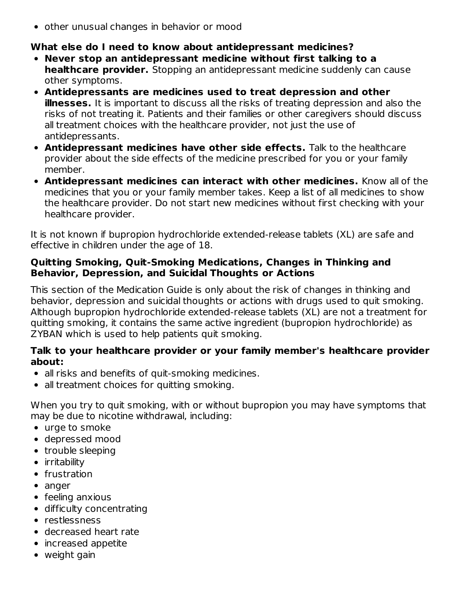• other unusual changes in behavior or mood

# **What else do I need to know about antidepressant medicines?**

- **Never stop an antidepressant medicine without first talking to a healthcare provider.** Stopping an antidepressant medicine suddenly can cause other symptoms.
- **Antidepressants are medicines used to treat depression and other illnesses.** It is important to discuss all the risks of treating depression and also the risks of not treating it. Patients and their families or other caregivers should discuss all treatment choices with the healthcare provider, not just the use of antidepressants.
- **Antidepressant medicines have other side effects.** Talk to the healthcare provider about the side effects of the medicine prescribed for you or your family member.
- **Antidepressant medicines can interact with other medicines.** Know all of the medicines that you or your family member takes. Keep a list of all medicines to show the healthcare provider. Do not start new medicines without first checking with your healthcare provider.

It is not known if bupropion hydrochloride extended-release tablets (XL) are safe and effective in children under the age of 18.

#### **Quitting Smoking, Quit-Smoking Medications, Changes in Thinking and Behavior, Depression, and Suicidal Thoughts or Actions**

This section of the Medication Guide is only about the risk of changes in thinking and behavior, depression and suicidal thoughts or actions with drugs used to quit smoking. Although bupropion hydrochloride extended-release tablets (XL) are not a treatment for quitting smoking, it contains the same active ingredient (bupropion hydrochloride) as ZYBAN which is used to help patients quit smoking.

#### **Talk to your healthcare provider or your family member's healthcare provider about:**

- all risks and benefits of quit-smoking medicines.
- all treatment choices for quitting smoking.

When you try to quit smoking, with or without bupropion you may have symptoms that may be due to nicotine withdrawal, including:

- urge to smoke
- depressed mood
- trouble sleeping
- irritability
- frustration
- anger
- $\bullet$  feeling anxious
- difficulty concentrating
- restlessness
- decreased heart rate
- increased appetite
- weight gain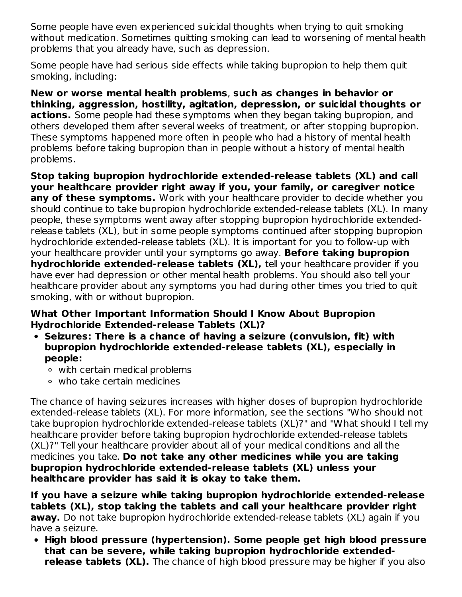Some people have even experienced suicidal thoughts when trying to quit smoking without medication. Sometimes quitting smoking can lead to worsening of mental health problems that you already have, such as depression.

Some people have had serious side effects while taking bupropion to help them quit smoking, including:

**New or worse mental health problems**, **such as changes in behavior or thinking, aggression, hostility, agitation, depression, or suicidal thoughts or actions.** Some people had these symptoms when they began taking bupropion, and others developed them after several weeks of treatment, or after stopping bupropion. These symptoms happened more often in people who had a history of mental health problems before taking bupropion than in people without a history of mental health problems.

**Stop taking bupropion hydrochloride extended-release tablets (XL) and call your healthcare provider right away if you, your family, or caregiver notice any of these symptoms.** Work with your healthcare provider to decide whether you should continue to take bupropion hydrochloride extended-release tablets (XL). In many people, these symptoms went away after stopping bupropion hydrochloride extendedrelease tablets (XL), but in some people symptoms continued after stopping bupropion hydrochloride extended-release tablets (XL). It is important for you to follow-up with your healthcare provider until your symptoms go away. **Before taking bupropion hydrochloride extended-release tablets (XL),** tell your healthcare provider if you have ever had depression or other mental health problems. You should also tell your healthcare provider about any symptoms you had during other times you tried to quit smoking, with or without bupropion.

#### **What Other Important Information Should I Know About Bupropion Hydrochloride Extended-release Tablets (XL)?**

- **Seizures: There is a chance of having a seizure (convulsion, fit) with bupropion hydrochloride extended-release tablets (XL), especially in people:**
	- with certain medical problems
	- who take certain medicines

The chance of having seizures increases with higher doses of bupropion hydrochloride extended-release tablets (XL). For more information, see the sections "Who should not take bupropion hydrochloride extended-release tablets (XL)?" and "What should I tell my healthcare provider before taking bupropion hydrochloride extended-release tablets (XL)?" Tell your healthcare provider about all of your medical conditions and all the medicines you take. **Do not take any other medicines while you are taking bupropion hydrochloride extended-release tablets (XL) unless your healthcare provider has said it is okay to take them.**

**If you have a seizure while taking bupropion hydrochloride extended-release tablets (XL), stop taking the tablets and call your healthcare provider right away.** Do not take bupropion hydrochloride extended-release tablets (XL) again if you have a seizure.

**High blood pressure (hypertension). Some people get high blood pressure that can be severe, while taking bupropion hydrochloride extendedrelease tablets (XL).** The chance of high blood pressure may be higher if you also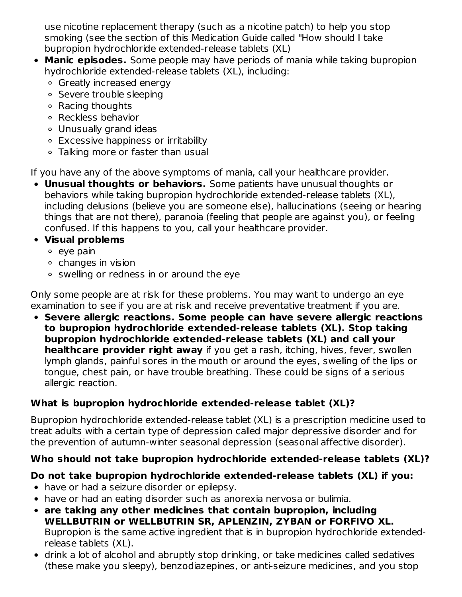use nicotine replacement therapy (such as a nicotine patch) to help you stop smoking (see the section of this Medication Guide called "How should I take bupropion hydrochloride extended-release tablets (XL)

- **Manic episodes.** Some people may have periods of mania while taking bupropion hydrochloride extended-release tablets (XL), including:
	- Greatly increased energy
	- Severe trouble sleeping
	- Racing thoughts
	- Reckless behavior
	- Unusually grand ideas
	- Excessive happiness or irritability
	- Talking more or faster than usual

If you have any of the above symptoms of mania, call your healthcare provider.

- **Unusual thoughts or behaviors.** Some patients have unusual thoughts or behaviors while taking bupropion hydrochloride extended-release tablets (XL), including delusions (believe you are someone else), hallucinations (seeing or hearing things that are not there), paranoia (feeling that people are against you), or feeling confused. If this happens to you, call your healthcare provider.
- **Visual problems**
	- $\circ$  eye pain
	- $\circ$  changes in vision
	- swelling or redness in or around the eye

Only some people are at risk for these problems. You may want to undergo an eye examination to see if you are at risk and receive preventative treatment if you are.

**Severe allergic reactions. Some people can have severe allergic reactions to bupropion hydrochloride extended-release tablets (XL). Stop taking bupropion hydrochloride extended-release tablets (XL) and call your healthcare provider right away** if you get a rash, itching, hives, fever, swollen lymph glands, painful sores in the mouth or around the eyes, swelling of the lips or tongue, chest pain, or have trouble breathing. These could be signs of a serious allergic reaction.

# **What is bupropion hydrochloride extended-release tablet (XL)?**

Bupropion hydrochloride extended-release tablet (XL) is a prescription medicine used to treat adults with a certain type of depression called major depressive disorder and for the prevention of autumn-winter seasonal depression (seasonal affective disorder).

# **Who should not take bupropion hydrochloride extended-release tablets (XL)?**

# **Do not take bupropion hydrochloride extended-release tablets (XL) if you:**

- have or had a seizure disorder or epilepsy.
- have or had an eating disorder such as anorexia nervosa or bulimia.
- **are taking any other medicines that contain bupropion, including WELLBUTRIN or WELLBUTRIN SR, APLENZIN, ZYBAN or FORFIVO XL.** Bupropion is the same active ingredient that is in bupropion hydrochloride extendedrelease tablets (XL).
- drink a lot of alcohol and abruptly stop drinking, or take medicines called sedatives (these make you sleepy), benzodiazepines, or anti-seizure medicines, and you stop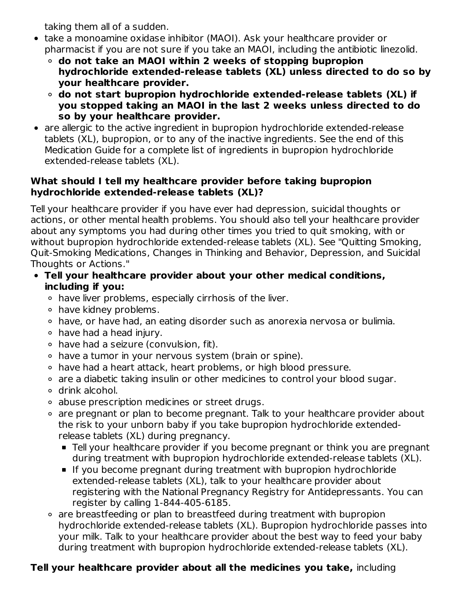taking them all of a sudden.

- take a monoamine oxidase inhibitor (MAOI). Ask your healthcare provider or pharmacist if you are not sure if you take an MAOI, including the antibiotic linezolid.
	- **do not take an MAOI within 2 weeks of stopping bupropion hydrochloride extended-release tablets (XL) unless directed to do so by your healthcare provider.**
	- **do not start bupropion hydrochloride extended-release tablets (XL) if you stopped taking an MAOI in the last 2 weeks unless directed to do so by your healthcare provider.**
- are allergic to the active ingredient in bupropion hydrochloride extended-release tablets (XL), bupropion, or to any of the inactive ingredients. See the end of this Medication Guide for a complete list of ingredients in bupropion hydrochloride extended-release tablets (XL).

#### **What should I tell my healthcare provider before taking bupropion hydrochloride extended-release tablets (XL)?**

Tell your healthcare provider if you have ever had depression, suicidal thoughts or actions, or other mental health problems. You should also tell your healthcare provider about any symptoms you had during other times you tried to quit smoking, with or without bupropion hydrochloride extended-release tablets (XL). See "Quitting Smoking, Quit-Smoking Medications, Changes in Thinking and Behavior, Depression, and Suicidal Thoughts or Actions."

- **Tell your healthcare provider about your other medical conditions, including if you:**
	- have liver problems, especially cirrhosis of the liver.
	- have kidney problems.
	- have, or have had, an eating disorder such as anorexia nervosa or bulimia.
	- have had a head injury.
	- $\circ$  have had a seizure (convulsion, fit).
	- have a tumor in your nervous system (brain or spine).
	- have had a heart attack, heart problems, or high blood pressure.
	- are a diabetic taking insulin or other medicines to control your blood sugar.
	- drink alcohol.
	- abuse prescription medicines or street drugs.
	- are pregnant or plan to become pregnant. Talk to your healthcare provider about the risk to your unborn baby if you take bupropion hydrochloride extendedrelease tablets (XL) during pregnancy.
		- Tell your healthcare provider if you become pregnant or think you are pregnant during treatment with bupropion hydrochloride extended-release tablets (XL).
		- If you become pregnant during treatment with bupropion hydrochloride extended-release tablets (XL), talk to your healthcare provider about registering with the National Pregnancy Registry for Antidepressants. You can register by calling 1-844-405-6185.
	- are breastfeeding or plan to breastfeed during treatment with bupropion hydrochloride extended-release tablets (XL). Bupropion hydrochloride passes into your milk. Talk to your healthcare provider about the best way to feed your baby during treatment with bupropion hydrochloride extended-release tablets (XL).

# **Tell your healthcare provider about all the medicines you take,** including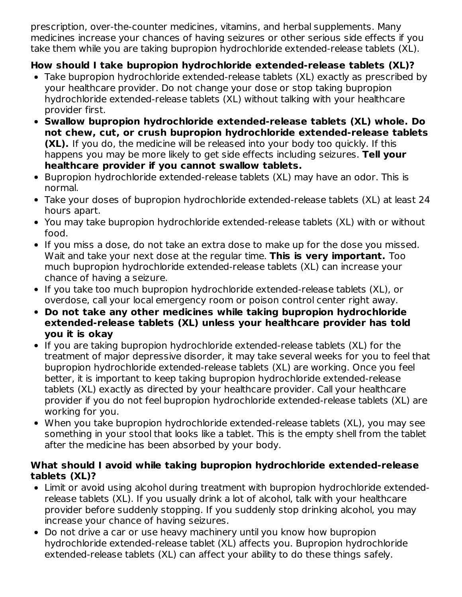prescription, over-the-counter medicines, vitamins, and herbal supplements. Many medicines increase your chances of having seizures or other serious side effects if you take them while you are taking bupropion hydrochloride extended-release tablets (XL).

# **How should I take bupropion hydrochloride extended-release tablets (XL)?**

- Take bupropion hydrochloride extended-release tablets (XL) exactly as prescribed by your healthcare provider. Do not change your dose or stop taking bupropion hydrochloride extended-release tablets (XL) without talking with your healthcare provider first.
- **Swallow bupropion hydrochloride extended-release tablets (XL) whole. Do not chew, cut, or crush bupropion hydrochloride extended-release tablets (XL).** If you do, the medicine will be released into your body too quickly. If this happens you may be more likely to get side effects including seizures. **Tell your healthcare provider if you cannot swallow tablets.**
- Bupropion hydrochloride extended-release tablets (XL) may have an odor. This is normal.
- Take your doses of bupropion hydrochloride extended-release tablets (XL) at least 24 hours apart.
- You may take bupropion hydrochloride extended-release tablets (XL) with or without food.
- If you miss a dose, do not take an extra dose to make up for the dose you missed. Wait and take your next dose at the regular time. **This is very important.** Too much bupropion hydrochloride extended-release tablets (XL) can increase your chance of having a seizure.
- If you take too much bupropion hydrochloride extended-release tablets (XL), or overdose, call your local emergency room or poison control center right away.
- **Do not take any other medicines while taking bupropion hydrochloride extended-release tablets (XL) unless your healthcare provider has told you it is okay**
- If you are taking bupropion hydrochloride extended-release tablets (XL) for the treatment of major depressive disorder, it may take several weeks for you to feel that bupropion hydrochloride extended-release tablets (XL) are working. Once you feel better, it is important to keep taking bupropion hydrochloride extended-release tablets (XL) exactly as directed by your healthcare provider. Call your healthcare provider if you do not feel bupropion hydrochloride extended-release tablets (XL) are working for you.
- When you take bupropion hydrochloride extended-release tablets (XL), you may see something in your stool that looks like a tablet. This is the empty shell from the tablet after the medicine has been absorbed by your body.

#### **What should I avoid while taking bupropion hydrochloride extended-release tablets (XL)?**

- Limit or avoid using alcohol during treatment with bupropion hydrochloride extendedrelease tablets (XL). If you usually drink a lot of alcohol, talk with your healthcare provider before suddenly stopping. If you suddenly stop drinking alcohol, you may increase your chance of having seizures.
- Do not drive a car or use heavy machinery until you know how bupropion hydrochloride extended-release tablet (XL) affects you. Bupropion hydrochloride extended-release tablets (XL) can affect your ability to do these things safely.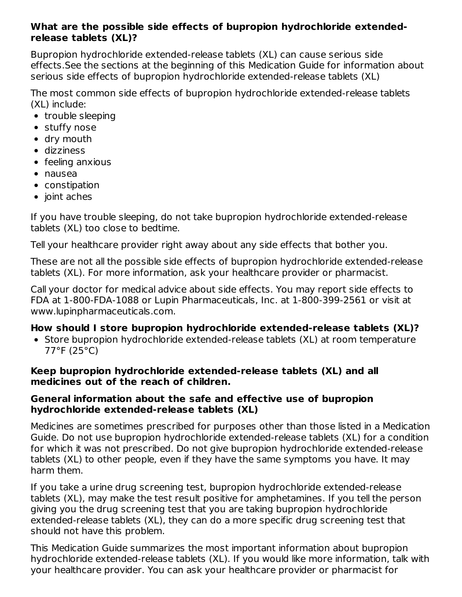#### **What are the possible side effects of bupropion hydrochloride extendedrelease tablets (XL)?**

Bupropion hydrochloride extended-release tablets (XL) can cause serious side effects.See the sections at the beginning of this Medication Guide for information about serious side effects of bupropion hydrochloride extended-release tablets (XL)

The most common side effects of bupropion hydrochloride extended-release tablets (XL) include:

- trouble sleeping
- stuffy nose
- dry mouth
- dizziness
- $\bullet$  feeling anxious
- nausea
- constipation
- $\bullet$  joint aches

If you have trouble sleeping, do not take bupropion hydrochloride extended-release tablets (XL) too close to bedtime.

Tell your healthcare provider right away about any side effects that bother you.

These are not all the possible side effects of bupropion hydrochloride extended-release tablets (XL). For more information, ask your healthcare provider or pharmacist.

Call your doctor for medical advice about side effects. You may report side effects to FDA at 1-800-FDA-1088 or Lupin Pharmaceuticals, Inc. at 1-800-399-2561 or visit at www.lupinpharmaceuticals.com.

#### **How should I store bupropion hydrochloride extended-release tablets (XL)?**

• Store bupropion hydrochloride extended-release tablets (XL) at room temperature 77°F (25°C)

#### **Keep bupropion hydrochloride extended-release tablets (XL) and all medicines out of the reach of children.**

#### **General information about the safe and effective use of bupropion hydrochloride extended-release tablets (XL)**

Medicines are sometimes prescribed for purposes other than those listed in a Medication Guide. Do not use bupropion hydrochloride extended-release tablets (XL) for a condition for which it was not prescribed. Do not give bupropion hydrochloride extended-release tablets (XL) to other people, even if they have the same symptoms you have. It may harm them.

If you take a urine drug screening test, bupropion hydrochloride extended-release tablets (XL), may make the test result positive for amphetamines. If you tell the person giving you the drug screening test that you are taking bupropion hydrochloride extended-release tablets (XL), they can do a more specific drug screening test that should not have this problem.

This Medication Guide summarizes the most important information about bupropion hydrochloride extended-release tablets (XL). If you would like more information, talk with your healthcare provider. You can ask your healthcare provider or pharmacist for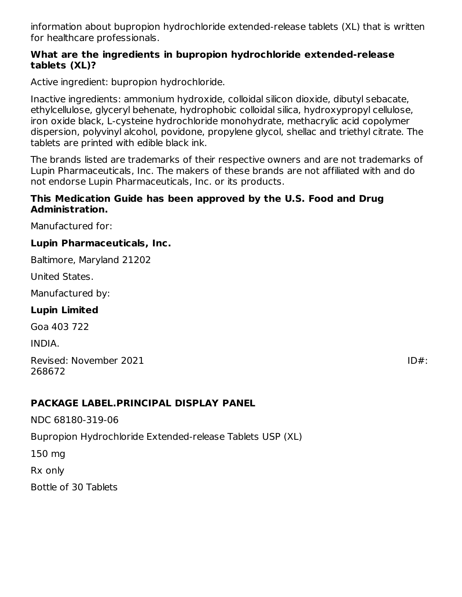information about bupropion hydrochloride extended-release tablets (XL) that is written for healthcare professionals.

#### **What are the ingredients in bupropion hydrochloride extended-release tablets (XL)?**

Active ingredient: bupropion hydrochloride.

Inactive ingredients: ammonium hydroxide, colloidal silicon dioxide, dibutyl sebacate, ethylcellulose, glyceryl behenate, hydrophobic colloidal silica, hydroxypropyl cellulose, iron oxide black, L-cysteine hydrochloride monohydrate, methacrylic acid copolymer dispersion, polyvinyl alcohol, povidone, propylene glycol, shellac and triethyl citrate. The tablets are printed with edible black ink.

The brands listed are trademarks of their respective owners and are not trademarks of Lupin Pharmaceuticals, Inc. The makers of these brands are not affiliated with and do not endorse Lupin Pharmaceuticals, Inc. or its products.

#### **This Medication Guide has been approved by the U.S. Food and Drug Administration.**

Manufactured for:

#### **Lupin Pharmaceuticals, Inc.**

Baltimore, Maryland 21202

United States.

Manufactured by:

#### **Lupin Limited**

Goa 403 722

INDIA.

Revised: November 2021 **ID#:** ID#: 268672

## **PACKAGE LABEL.PRINCIPAL DISPLAY PANEL**

NDC 68180-319-06 Bupropion Hydrochloride Extended-release Tablets USP (XL) 150 mg Rx only Bottle of 30 Tablets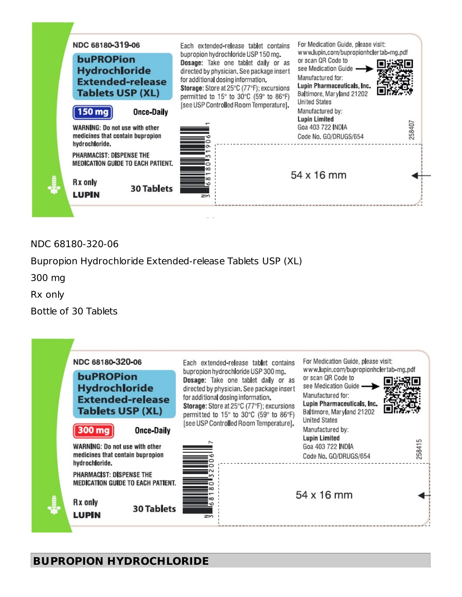

NDC 68180-320-06

Bupropion Hydrochloride Extended-release Tablets USP (XL)

300 mg

Rx only

Bottle of 30 Tablets



## **BUPROPION HYDROCHLORIDE**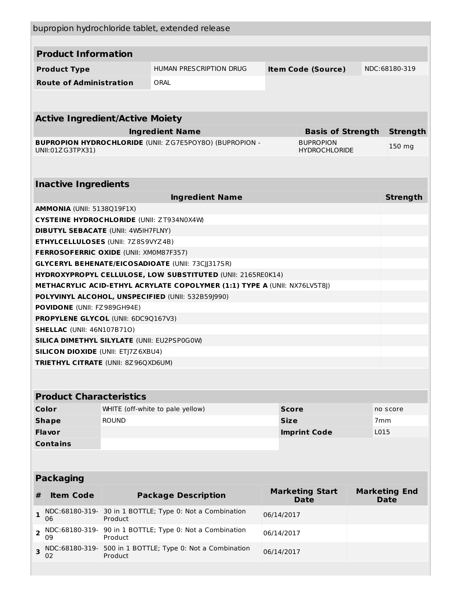| bupropion hydrochloride tablet, extended release                                                |                                                                                 |                                                                     |                                                                           |  |                           |                        |                 |                      |  |
|-------------------------------------------------------------------------------------------------|---------------------------------------------------------------------------------|---------------------------------------------------------------------|---------------------------------------------------------------------------|--|---------------------------|------------------------|-----------------|----------------------|--|
|                                                                                                 |                                                                                 |                                                                     |                                                                           |  |                           |                        |                 |                      |  |
| <b>Product Information</b>                                                                      |                                                                                 |                                                                     |                                                                           |  |                           |                        |                 |                      |  |
| <b>Product Type</b>                                                                             |                                                                                 |                                                                     | <b>HUMAN PRESCRIPTION DRUG</b>                                            |  | <b>Item Code (Source)</b> |                        |                 | NDC:68180-319        |  |
|                                                                                                 | ORAL<br><b>Route of Administration</b>                                          |                                                                     |                                                                           |  |                           |                        |                 |                      |  |
|                                                                                                 |                                                                                 |                                                                     |                                                                           |  |                           |                        |                 |                      |  |
|                                                                                                 |                                                                                 |                                                                     |                                                                           |  |                           |                        |                 |                      |  |
|                                                                                                 | <b>Active Ingredient/Active Moiety</b>                                          |                                                                     |                                                                           |  |                           |                        |                 |                      |  |
| <b>Ingredient Name</b>                                                                          |                                                                                 |                                                                     |                                                                           |  | <b>Basis of Strength</b>  |                        | <b>Strength</b> |                      |  |
|                                                                                                 |                                                                                 |                                                                     | <b>BUPROPION HYDROCHLORIDE (UNII: ZG7E5POY80) (BUPROPION -</b>            |  |                           | <b>BUPROPION</b>       |                 | 150 mg               |  |
|                                                                                                 | UNII:01ZG3TPX31)                                                                |                                                                     |                                                                           |  |                           | <b>HYDROCHLORIDE</b>   |                 |                      |  |
|                                                                                                 |                                                                                 |                                                                     |                                                                           |  |                           |                        |                 |                      |  |
|                                                                                                 | <b>Inactive Ingredients</b>                                                     |                                                                     |                                                                           |  |                           |                        |                 |                      |  |
|                                                                                                 |                                                                                 |                                                                     | <b>Ingredient Name</b>                                                    |  |                           |                        |                 | <b>Strength</b>      |  |
|                                                                                                 | AMMONIA (UNII: 5138Q19F1X)                                                      |                                                                     |                                                                           |  |                           |                        |                 |                      |  |
|                                                                                                 | <b>CYSTEINE HYDROCHLORIDE (UNII: ZT934N0X4W)</b>                                |                                                                     |                                                                           |  |                           |                        |                 |                      |  |
|                                                                                                 | <b>DIBUTYL SEBACATE (UNII: 4W5IH7FLNY)</b>                                      |                                                                     |                                                                           |  |                           |                        |                 |                      |  |
|                                                                                                 | <b>ETHYLCELLULOSES (UNII: 7Z8S9VYZ4B)</b>                                       |                                                                     |                                                                           |  |                           |                        |                 |                      |  |
|                                                                                                 | <b>FERROSOFERRIC OXIDE (UNII: XM0M87F357)</b>                                   |                                                                     |                                                                           |  |                           |                        |                 |                      |  |
|                                                                                                 |                                                                                 |                                                                     | <b>GLYCERYL BEHENATE/EICOSADIOATE (UNII: 73CJJ317SR)</b>                  |  |                           |                        |                 |                      |  |
|                                                                                                 |                                                                                 |                                                                     | HYDROXYPROPYL CELLULOSE, LOW SUBSTITUTED (UNII: 2165RE0K14)               |  |                           |                        |                 |                      |  |
|                                                                                                 |                                                                                 |                                                                     | METHACRYLIC ACID-ETHYL ACRYLATE COPOLYMER (1:1) TYPE A (UNII: NX76LV5T8J) |  |                           |                        |                 |                      |  |
| POLYVINYL ALCOHOL, UNSPECIFIED (UNII: 532B59J990)                                               |                                                                                 |                                                                     |                                                                           |  |                           |                        |                 |                      |  |
|                                                                                                 | <b>POVIDONE</b> (UNII: FZ989GH94E)                                              |                                                                     |                                                                           |  |                           |                        |                 |                      |  |
|                                                                                                 | <b>PROPYLENE GLYCOL (UNII: 6DC9Q167V3)</b><br><b>SHELLAC (UNII: 46N107B710)</b> |                                                                     |                                                                           |  |                           |                        |                 |                      |  |
|                                                                                                 |                                                                                 |                                                                     |                                                                           |  |                           |                        |                 |                      |  |
| <b>SILICA DIMETHYL SILYLATE (UNII: EU2PSP0G0W)</b><br><b>SILICON DIOXIDE (UNII: ETJ7Z6XBU4)</b> |                                                                                 |                                                                     |                                                                           |  |                           |                        |                 |                      |  |
| TRIETHYL CITRATE (UNII: 8Z96QXD6UM)                                                             |                                                                                 |                                                                     |                                                                           |  |                           |                        |                 |                      |  |
|                                                                                                 |                                                                                 |                                                                     |                                                                           |  |                           |                        |                 |                      |  |
|                                                                                                 |                                                                                 |                                                                     |                                                                           |  |                           |                        |                 |                      |  |
| <b>Product Characteristics</b>                                                                  |                                                                                 |                                                                     |                                                                           |  |                           |                        |                 |                      |  |
|                                                                                                 | Color                                                                           | WHITE (off-white to pale yellow)                                    |                                                                           |  | <b>Score</b>              |                        |                 | no score             |  |
|                                                                                                 | <b>Shape</b>                                                                    | <b>ROUND</b>                                                        |                                                                           |  | <b>Size</b>               |                        | 7 <sub>mm</sub> |                      |  |
| Flavor                                                                                          |                                                                                 |                                                                     |                                                                           |  | <b>Imprint Code</b>       |                        | L015            |                      |  |
|                                                                                                 | <b>Contains</b>                                                                 |                                                                     |                                                                           |  |                           |                        |                 |                      |  |
|                                                                                                 |                                                                                 |                                                                     |                                                                           |  |                           |                        |                 |                      |  |
| <b>Packaging</b>                                                                                |                                                                                 |                                                                     |                                                                           |  |                           |                        |                 |                      |  |
|                                                                                                 |                                                                                 |                                                                     |                                                                           |  |                           | <b>Marketing Start</b> |                 | <b>Marketing End</b> |  |
| #                                                                                               | <b>Item Code</b>                                                                |                                                                     | <b>Package Description</b>                                                |  |                           | <b>Date</b>            |                 | <b>Date</b>          |  |
| 1                                                                                               | NDC:68180-319-<br>06                                                            | Product                                                             | 30 in 1 BOTTLE; Type 0: Not a Combination                                 |  | 06/14/2017                |                        |                 |                      |  |
| 2                                                                                               | NDC:68180-319-<br>09                                                            | 90 in 1 BOTTLE; Type 0: Not a Combination<br>06/14/2017<br>Product  |                                                                           |  |                           |                        |                 |                      |  |
| 3                                                                                               | NDC:68180-319-<br>02                                                            | 500 in 1 BOTTLE; Type 0: Not a Combination<br>06/14/2017<br>Product |                                                                           |  |                           |                        |                 |                      |  |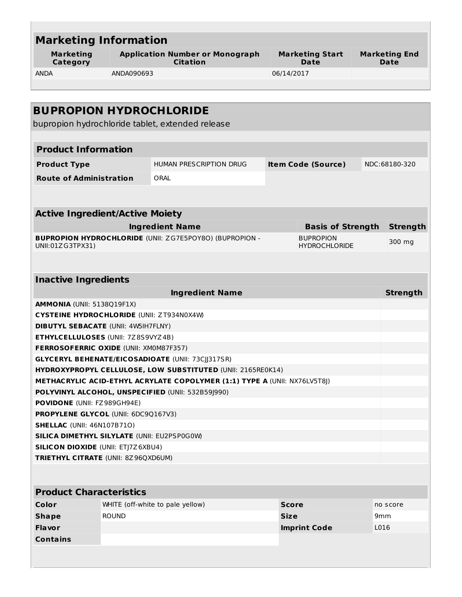| <b>Marketing Information</b> |                                                           |                                       |                                     |  |  |
|------------------------------|-----------------------------------------------------------|---------------------------------------|-------------------------------------|--|--|
| <b>Marketing</b><br>Category | <b>Application Number or Monograph</b><br><b>Citation</b> | <b>Marketing Start</b><br><b>Date</b> | <b>Marketing End</b><br><b>Date</b> |  |  |
| ANDA                         | ANDA090693                                                | 06/14/2017                            |                                     |  |  |
|                              |                                                           |                                       |                                     |  |  |

| <b>BUPROPION HYDROCHLORIDE</b><br>bupropion hydrochloride tablet, extended release |                                                      |                                                                           |  |                                          |          |                 |  |  |
|------------------------------------------------------------------------------------|------------------------------------------------------|---------------------------------------------------------------------------|--|------------------------------------------|----------|-----------------|--|--|
|                                                                                    |                                                      |                                                                           |  |                                          |          |                 |  |  |
|                                                                                    | <b>Product Information</b>                           |                                                                           |  |                                          |          |                 |  |  |
| <b>Product Type</b>                                                                | HUMAN PRESCRIPTION DRUG<br><b>Item Code (Source)</b> |                                                                           |  |                                          |          | NDC:68180-320   |  |  |
| <b>Route of Administration</b>                                                     |                                                      | ORAL                                                                      |  |                                          |          |                 |  |  |
|                                                                                    |                                                      |                                                                           |  |                                          |          |                 |  |  |
| <b>Active Ingredient/Active Moiety</b>                                             |                                                      |                                                                           |  |                                          |          |                 |  |  |
|                                                                                    |                                                      |                                                                           |  |                                          |          |                 |  |  |
|                                                                                    |                                                      | <b>Ingredient Name</b>                                                    |  | <b>Basis of Strength</b>                 |          | <b>Strength</b> |  |  |
| UNII:01ZG3TPX31)                                                                   |                                                      | <b>BUPROPION HYDROCHLORIDE (UNII: ZG7E5POY8O) (BUPROPION -</b>            |  | <b>BUPROPION</b><br><b>HYDROCHLORIDE</b> |          | 300 mg          |  |  |
|                                                                                    |                                                      |                                                                           |  |                                          |          |                 |  |  |
| <b>Inactive Ingredients</b>                                                        |                                                      |                                                                           |  |                                          |          |                 |  |  |
|                                                                                    |                                                      | <b>Ingredient Name</b>                                                    |  |                                          |          | <b>Strength</b> |  |  |
| <b>AMMONIA (UNII: 5138Q19F1X)</b>                                                  |                                                      |                                                                           |  |                                          |          |                 |  |  |
| <b>CYSTEINE HYDROCHLORIDE (UNII: ZT934N0X4W)</b>                                   |                                                      |                                                                           |  |                                          |          |                 |  |  |
| <b>DIBUTYL SEBACATE (UNII: 4W5IH7FLNY)</b>                                         |                                                      |                                                                           |  |                                          |          |                 |  |  |
| ETHYLCELLULOSES (UNII: 7Z8S9VYZ4B)                                                 |                                                      |                                                                           |  |                                          |          |                 |  |  |
| FERROSOFERRIC OXIDE (UNII: XM0M87F357)                                             |                                                      |                                                                           |  |                                          |          |                 |  |  |
| <b>GLYCERYL BEHENATE/EICOSADIOATE (UNII: 73CJJ317SR)</b>                           |                                                      |                                                                           |  |                                          |          |                 |  |  |
| HYDROXYPROPYL CELLULOSE, LOW SUBSTITUTED (UNII: 2165RE0K14)                        |                                                      |                                                                           |  |                                          |          |                 |  |  |
|                                                                                    |                                                      | METHACRYLIC ACID-ETHYL ACRYLATE COPOLYMER (1:1) TYPE A (UNII: NX76LV5T8J) |  |                                          |          |                 |  |  |
|                                                                                    | POLYVINYL ALCOHOL, UNSPECIFIED (UNII: 532B59J990)    |                                                                           |  |                                          |          |                 |  |  |
| POVIDONE (UNII: FZ989GH94E)                                                        |                                                      |                                                                           |  |                                          |          |                 |  |  |
| PROPYLENE GLYCOL (UNII: 6DC9Q167V3)                                                |                                                      |                                                                           |  |                                          |          |                 |  |  |
| <b>SHELLAC (UNII: 46N107B71O)</b>                                                  |                                                      |                                                                           |  |                                          |          |                 |  |  |
| SILICA DIMETHYL SILYLATE (UNII: EU2PSP0G0W)                                        |                                                      |                                                                           |  |                                          |          |                 |  |  |
| <b>SILICON DIOXIDE (UNII: ETJ7Z6XBU4)</b>                                          |                                                      |                                                                           |  |                                          |          |                 |  |  |
| TRIETHYL CITRATE (UNII: 8Z96QXD6UM)                                                |                                                      |                                                                           |  |                                          |          |                 |  |  |
|                                                                                    |                                                      |                                                                           |  |                                          |          |                 |  |  |
| <b>Product Characteristics</b>                                                     |                                                      |                                                                           |  |                                          |          |                 |  |  |
| Color                                                                              | WHITE (off-white to pale yellow)<br><b>Score</b>     |                                                                           |  |                                          | no score |                 |  |  |
| <b>Shape</b>                                                                       | <b>ROUND</b><br><b>Size</b>                          |                                                                           |  |                                          | 9mm      |                 |  |  |
| L016<br><b>Flavor</b><br><b>Imprint Code</b>                                       |                                                      |                                                                           |  |                                          |          |                 |  |  |
| <b>Contains</b>                                                                    |                                                      |                                                                           |  |                                          |          |                 |  |  |
|                                                                                    |                                                      |                                                                           |  |                                          |          |                 |  |  |